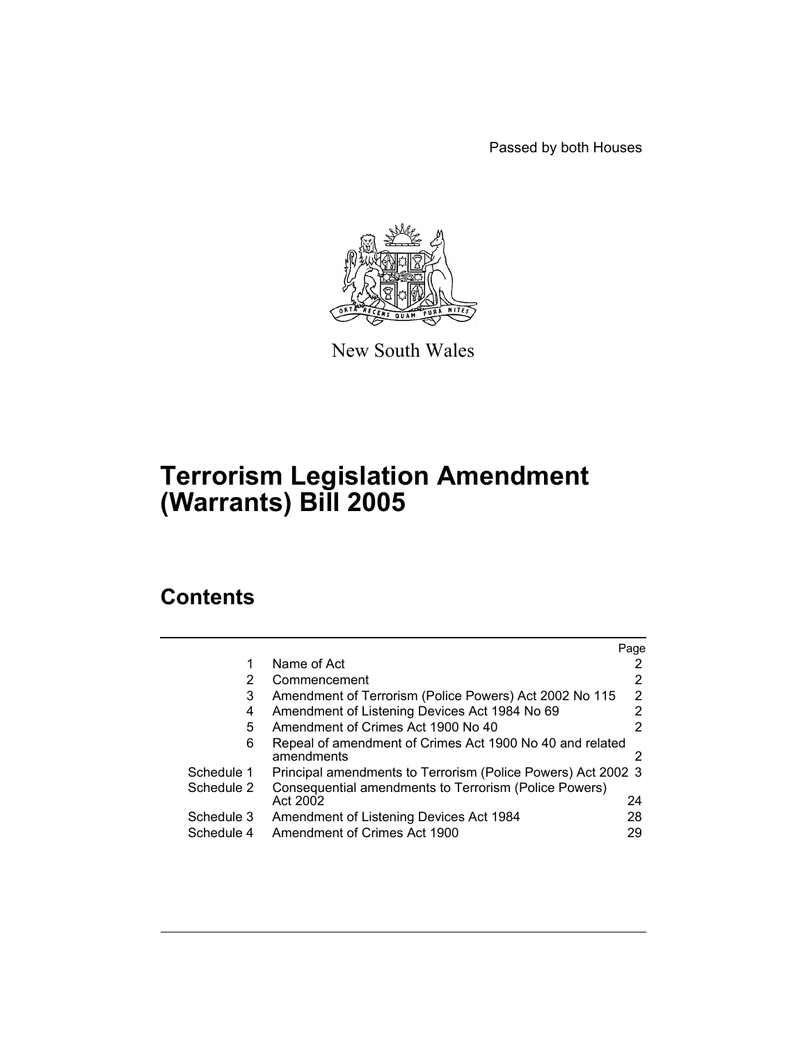Passed by both Houses



New South Wales

# **Terrorism Legislation Amendment (Warrants) Bill 2005**

# **Contents**

|            |                                                                        | Page |
|------------|------------------------------------------------------------------------|------|
|            | Name of Act                                                            |      |
| 2          | Commencement                                                           |      |
| 3          | Amendment of Terrorism (Police Powers) Act 2002 No 115                 | 2    |
| 4          | Amendment of Listening Devices Act 1984 No 69                          |      |
| 5          | Amendment of Crimes Act 1900 No 40                                     |      |
| 6          | Repeal of amendment of Crimes Act 1900 No 40 and related<br>amendments |      |
| Schedule 1 | Principal amendments to Terrorism (Police Powers) Act 2002 3           |      |
| Schedule 2 | Consequential amendments to Terrorism (Police Powers)                  |      |
|            | Act 2002                                                               | 24   |
| Schedule 3 | Amendment of Listening Devices Act 1984                                | 28   |
| Schedule 4 | Amendment of Crimes Act 1900                                           | 29   |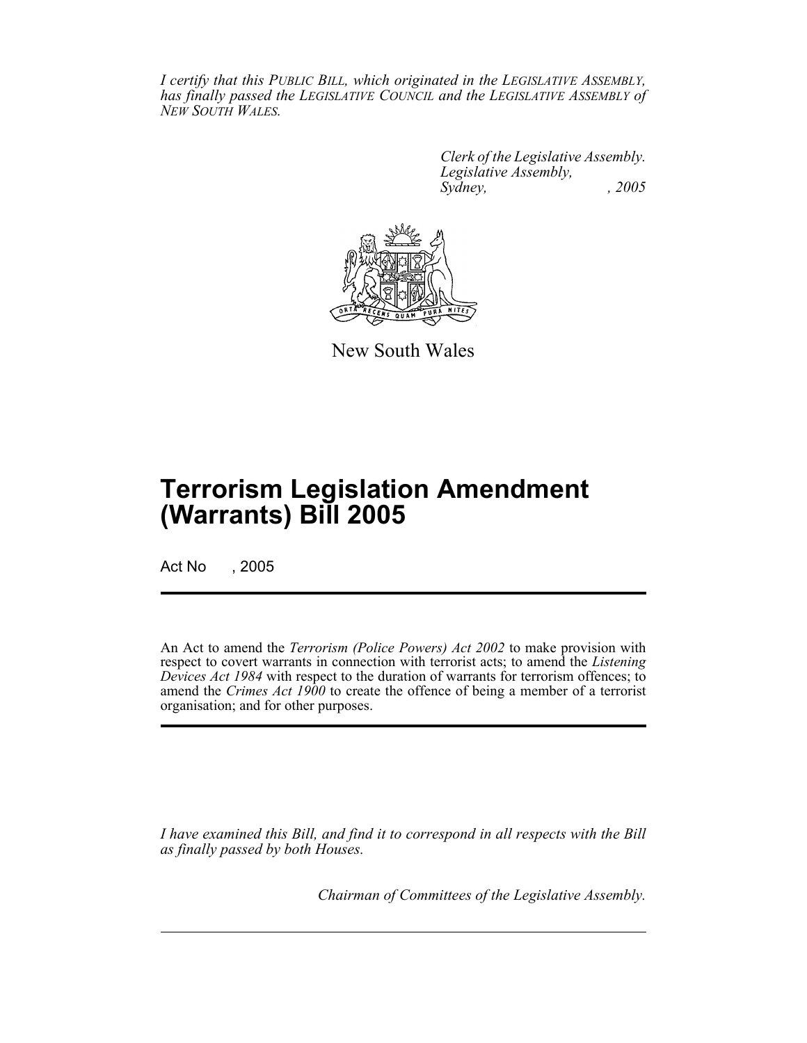*I certify that this PUBLIC BILL, which originated in the LEGISLATIVE ASSEMBLY, has finally passed the LEGISLATIVE COUNCIL and the LEGISLATIVE ASSEMBLY of NEW SOUTH WALES.*

> *Clerk of the Legislative Assembly. Legislative Assembly, Sydney, , 2005*



New South Wales

# **Terrorism Legislation Amendment (Warrants) Bill 2005**

Act No , 2005

An Act to amend the *Terrorism (Police Powers) Act 2002* to make provision with respect to covert warrants in connection with terrorist acts; to amend the *Listening Devices Act 1984* with respect to the duration of warrants for terrorism offences; to amend the *Crimes Act 1900* to create the offence of being a member of a terrorist organisation; and for other purposes.

*I have examined this Bill, and find it to correspond in all respects with the Bill as finally passed by both Houses.*

*Chairman of Committees of the Legislative Assembly.*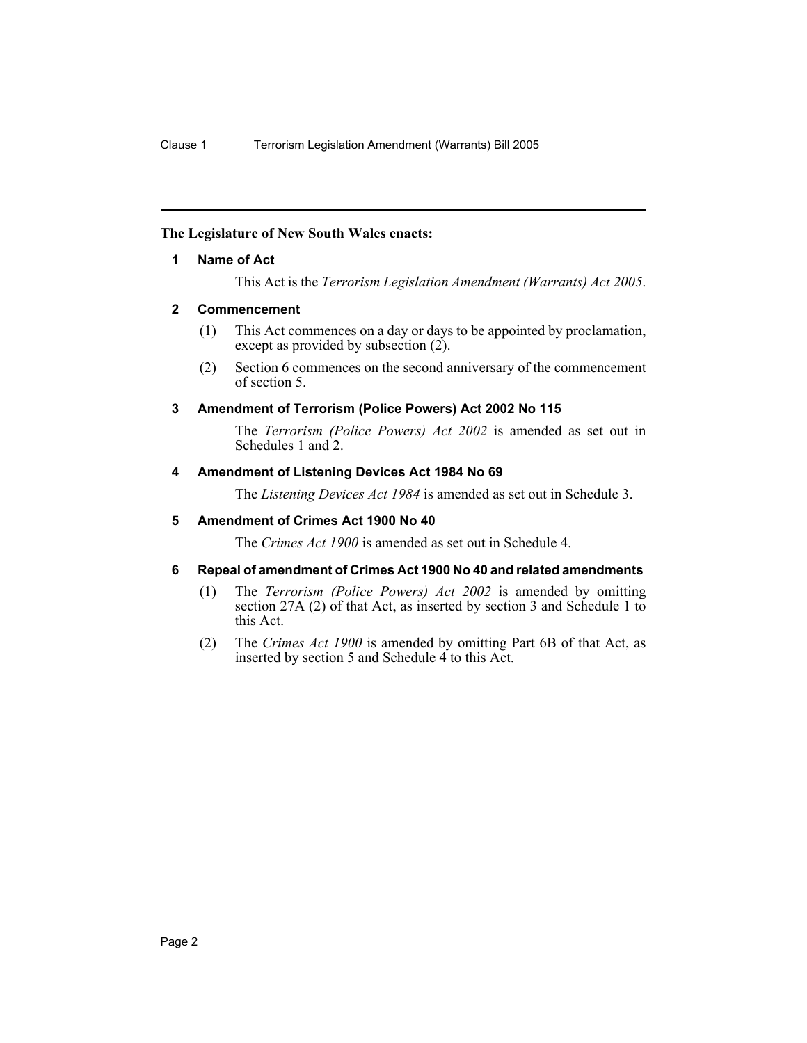### **The Legislature of New South Wales enacts:**

#### **1 Name of Act**

This Act is the *Terrorism Legislation Amendment (Warrants) Act 2005*.

### **2 Commencement**

- (1) This Act commences on a day or days to be appointed by proclamation, except as provided by subsection  $(2)$ .
- (2) Section 6 commences on the second anniversary of the commencement of section 5.

### **3 Amendment of Terrorism (Police Powers) Act 2002 No 115**

The *Terrorism (Police Powers) Act 2002* is amended as set out in Schedules 1 and 2.

#### **4 Amendment of Listening Devices Act 1984 No 69**

The *Listening Devices Act 1984* is amended as set out in Schedule 3.

### **5 Amendment of Crimes Act 1900 No 40**

The *Crimes Act 1900* is amended as set out in Schedule 4.

#### **6 Repeal of amendment of Crimes Act 1900 No 40 and related amendments**

- (1) The *Terrorism (Police Powers) Act 2002* is amended by omitting section 27A (2) of that Act, as inserted by section 3 and Schedule 1 to this Act.
- (2) The *Crimes Act 1900* is amended by omitting Part 6B of that Act, as inserted by section 5 and Schedule 4 to this Act.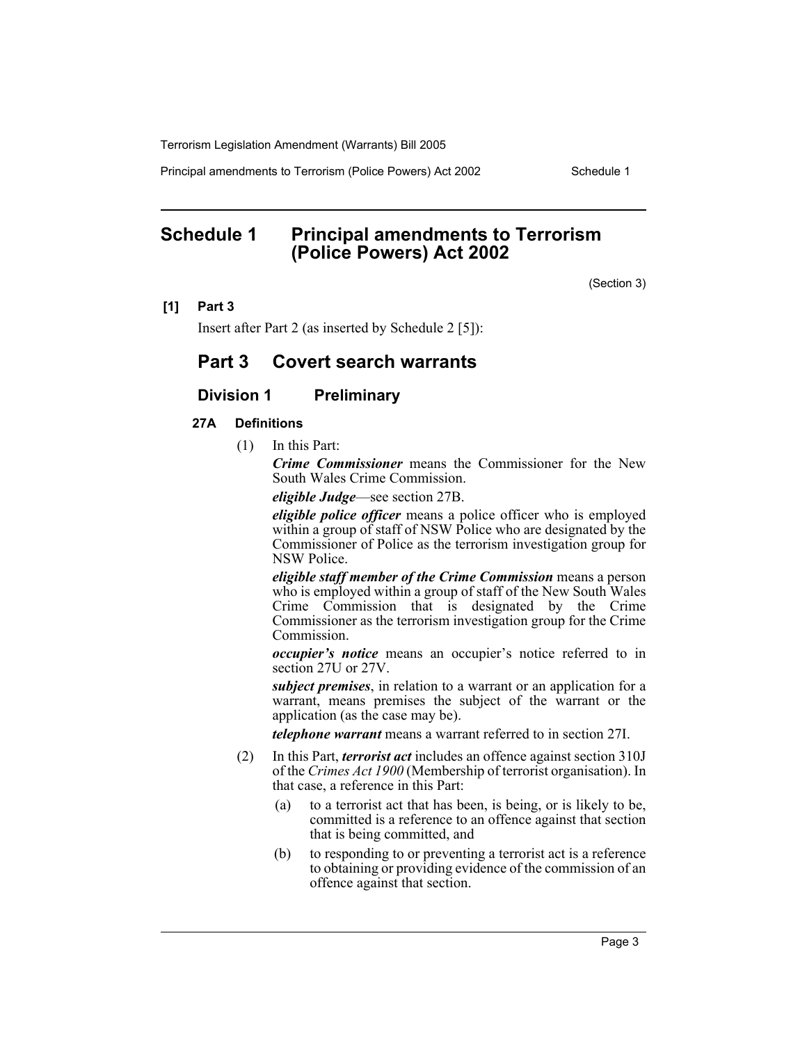Principal amendments to Terrorism (Police Powers) Act 2002 Schedule 1

# **Schedule 1 Principal amendments to Terrorism (Police Powers) Act 2002**

(Section 3)

#### **[1] Part 3**

Insert after Part 2 (as inserted by Schedule 2 [5]):

# **Part 3 Covert search warrants**

# **Division 1 Preliminary**

#### **27A Definitions**

(1) In this Part:

*Crime Commissioner* means the Commissioner for the New South Wales Crime Commission.

*eligible Judge*—see section 27B.

*eligible police officer* means a police officer who is employed within a group of staff of NSW Police who are designated by the Commissioner of Police as the terrorism investigation group for NSW Police.

*eligible staff member of the Crime Commission* means a person who is employed within a group of staff of the New South Wales Crime Commission that is designated by the Crime Commissioner as the terrorism investigation group for the Crime Commission.

*occupier's notice* means an occupier's notice referred to in section 27U or 27V.

*subject premises*, in relation to a warrant or an application for a warrant, means premises the subject of the warrant or the application (as the case may be).

*telephone warrant* means a warrant referred to in section 27I.

- (2) In this Part, *terrorist act* includes an offence against section 310J of the *Crimes Act 1900* (Membership of terrorist organisation). In that case, a reference in this Part:
	- (a) to a terrorist act that has been, is being, or is likely to be, committed is a reference to an offence against that section that is being committed, and
	- (b) to responding to or preventing a terrorist act is a reference to obtaining or providing evidence of the commission of an offence against that section.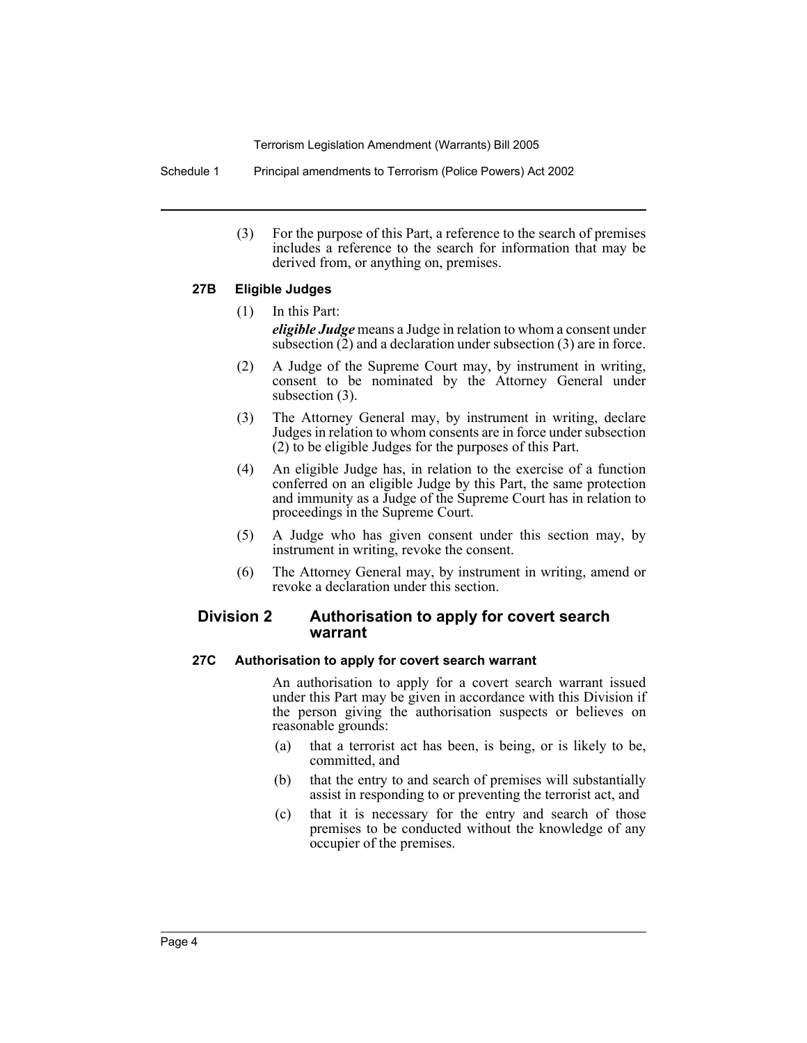Schedule 1 Principal amendments to Terrorism (Police Powers) Act 2002

(3) For the purpose of this Part, a reference to the search of premises includes a reference to the search for information that may be derived from, or anything on, premises.

# **27B Eligible Judges**

- (1) In this Part: *eligible Judge* means a Judge in relation to whom a consent under subsection (2) and a declaration under subsection (3) are in force.
- (2) A Judge of the Supreme Court may, by instrument in writing, consent to be nominated by the Attorney General under subsection (3).
- (3) The Attorney General may, by instrument in writing, declare Judges in relation to whom consents are in force under subsection (2) to be eligible Judges for the purposes of this Part.
- (4) An eligible Judge has, in relation to the exercise of a function conferred on an eligible Judge by this Part, the same protection and immunity as a Judge of the Supreme Court has in relation to proceedings in the Supreme Court.
- (5) A Judge who has given consent under this section may, by instrument in writing, revoke the consent.
- (6) The Attorney General may, by instrument in writing, amend or revoke a declaration under this section.

# **Division 2 Authorisation to apply for covert search warrant**

#### **27C Authorisation to apply for covert search warrant**

An authorisation to apply for a covert search warrant issued under this Part may be given in accordance with this Division if the person giving the authorisation suspects or believes on reasonable grounds:

- (a) that a terrorist act has been, is being, or is likely to be, committed, and
- (b) that the entry to and search of premises will substantially assist in responding to or preventing the terrorist act, and
- (c) that it is necessary for the entry and search of those premises to be conducted without the knowledge of any occupier of the premises.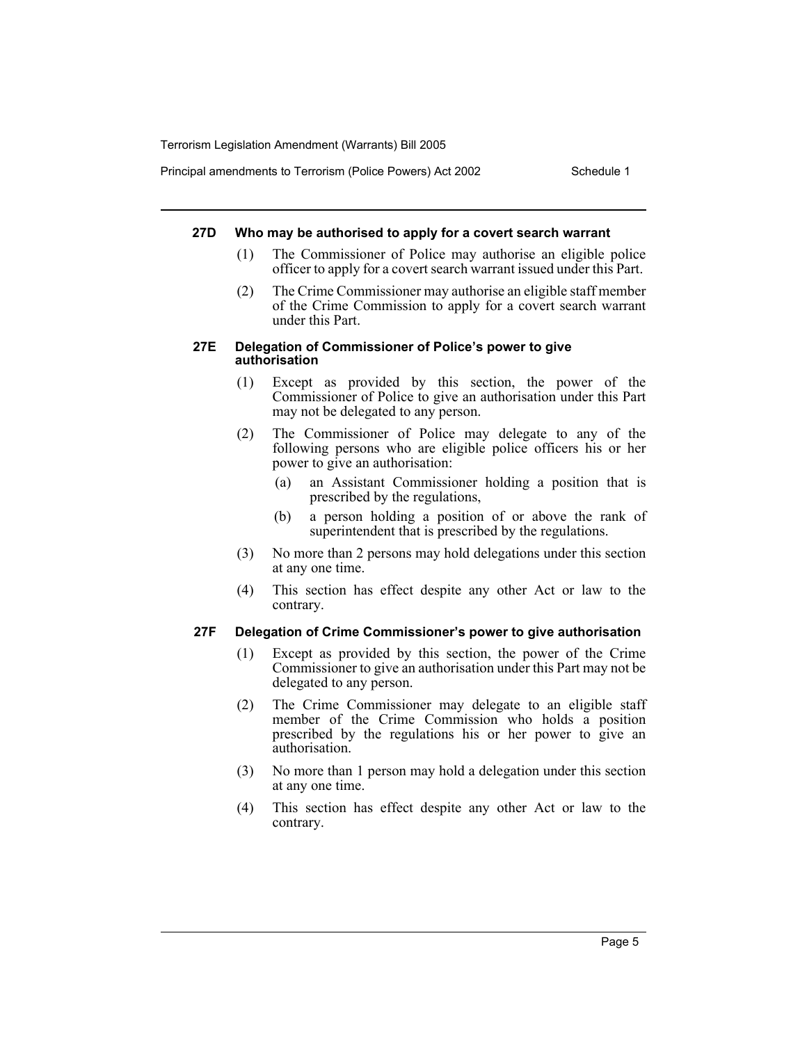Principal amendments to Terrorism (Police Powers) Act 2002 Schedule 1

#### **27D Who may be authorised to apply for a covert search warrant**

- (1) The Commissioner of Police may authorise an eligible police officer to apply for a covert search warrant issued under this Part.
- (2) The Crime Commissioner may authorise an eligible staff member of the Crime Commission to apply for a covert search warrant under this Part.

#### **27E Delegation of Commissioner of Police's power to give authorisation**

- (1) Except as provided by this section, the power of the Commissioner of Police to give an authorisation under this Part may not be delegated to any person.
- (2) The Commissioner of Police may delegate to any of the following persons who are eligible police officers his or her power to give an authorisation:
	- (a) an Assistant Commissioner holding a position that is prescribed by the regulations,
	- (b) a person holding a position of or above the rank of superintendent that is prescribed by the regulations.
- (3) No more than 2 persons may hold delegations under this section at any one time.
- (4) This section has effect despite any other Act or law to the contrary.

## **27F Delegation of Crime Commissioner's power to give authorisation**

- (1) Except as provided by this section, the power of the Crime Commissioner to give an authorisation under this Part may not be delegated to any person.
- (2) The Crime Commissioner may delegate to an eligible staff member of the Crime Commission who holds a position prescribed by the regulations his or her power to give an authorisation.
- (3) No more than 1 person may hold a delegation under this section at any one time.
- (4) This section has effect despite any other Act or law to the contrary.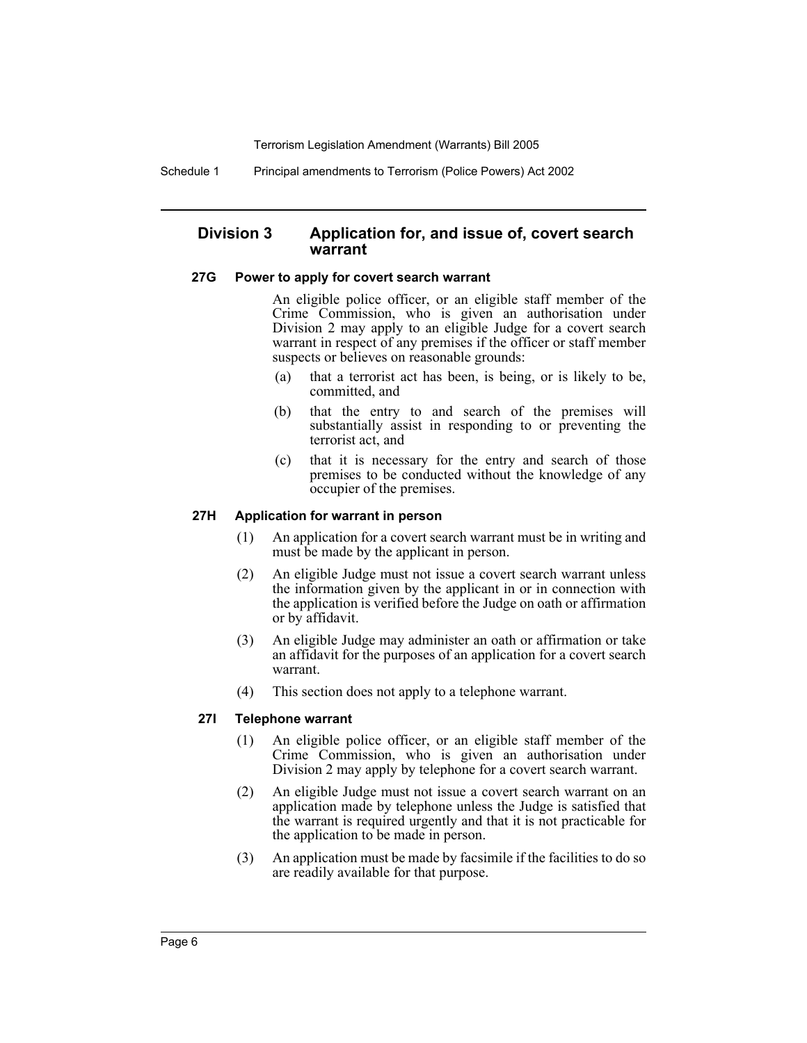Schedule 1 Principal amendments to Terrorism (Police Powers) Act 2002

# **Division 3 Application for, and issue of, covert search warrant**

### **27G Power to apply for covert search warrant**

An eligible police officer, or an eligible staff member of the Crime Commission, who is given an authorisation under Division 2 may apply to an eligible Judge for a covert search warrant in respect of any premises if the officer or staff member suspects or believes on reasonable grounds:

- (a) that a terrorist act has been, is being, or is likely to be, committed, and
- (b) that the entry to and search of the premises will substantially assist in responding to or preventing the terrorist act, and
- (c) that it is necessary for the entry and search of those premises to be conducted without the knowledge of any occupier of the premises.

## **27H Application for warrant in person**

- (1) An application for a covert search warrant must be in writing and must be made by the applicant in person.
- (2) An eligible Judge must not issue a covert search warrant unless the information given by the applicant in or in connection with the application is verified before the Judge on oath or affirmation or by affidavit.
- (3) An eligible Judge may administer an oath or affirmation or take an affidavit for the purposes of an application for a covert search warrant.
- (4) This section does not apply to a telephone warrant.

# **27I Telephone warrant**

- (1) An eligible police officer, or an eligible staff member of the Crime Commission, who is given an authorisation under Division 2 may apply by telephone for a covert search warrant.
- (2) An eligible Judge must not issue a covert search warrant on an application made by telephone unless the Judge is satisfied that the warrant is required urgently and that it is not practicable for the application to be made in person.
- (3) An application must be made by facsimile if the facilities to do so are readily available for that purpose.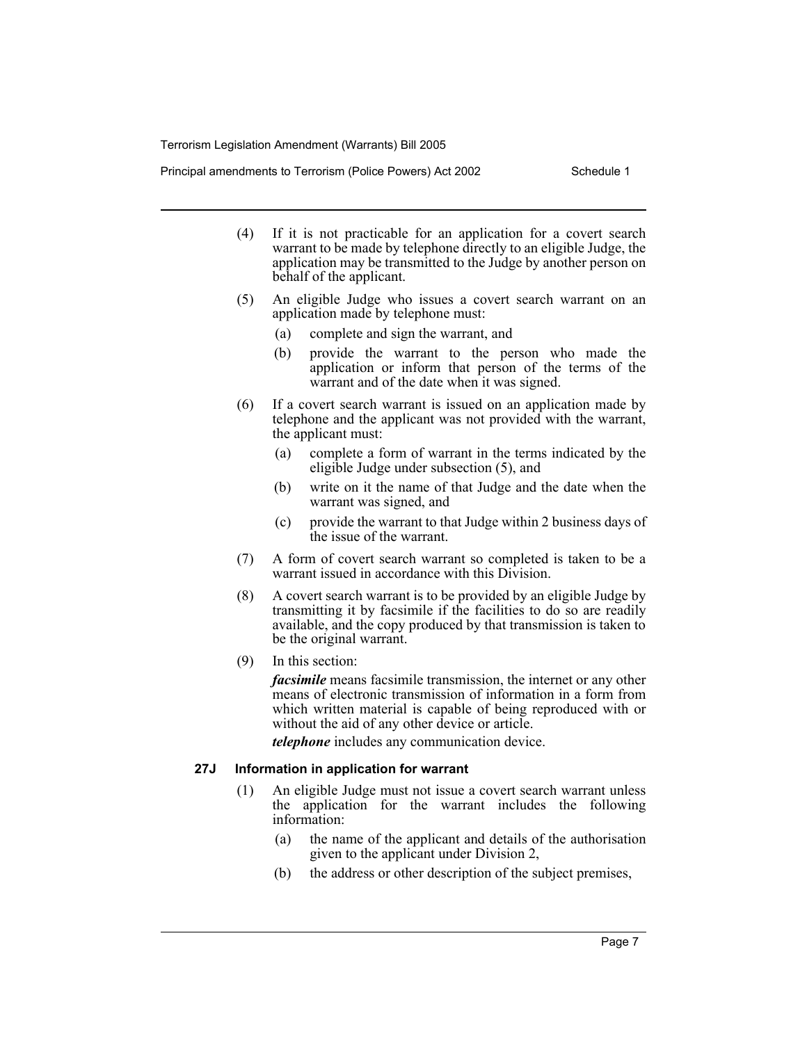Principal amendments to Terrorism (Police Powers) Act 2002 Schedule 1

- (4) If it is not practicable for an application for a covert search warrant to be made by telephone directly to an eligible Judge, the application may be transmitted to the Judge by another person on behalf of the applicant.
- (5) An eligible Judge who issues a covert search warrant on an application made by telephone must:
	- (a) complete and sign the warrant, and
	- (b) provide the warrant to the person who made the application or inform that person of the terms of the warrant and of the date when it was signed.
- (6) If a covert search warrant is issued on an application made by telephone and the applicant was not provided with the warrant, the applicant must:
	- (a) complete a form of warrant in the terms indicated by the eligible Judge under subsection (5), and
	- (b) write on it the name of that Judge and the date when the warrant was signed, and
	- (c) provide the warrant to that Judge within 2 business days of the issue of the warrant.
- (7) A form of covert search warrant so completed is taken to be a warrant issued in accordance with this Division.
- (8) A covert search warrant is to be provided by an eligible Judge by transmitting it by facsimile if the facilities to do so are readily available, and the copy produced by that transmission is taken to be the original warrant.
- (9) In this section:

*facsimile* means facsimile transmission, the internet or any other means of electronic transmission of information in a form from which written material is capable of being reproduced with or without the aid of any other device or article.

*telephone* includes any communication device.

#### **27J Information in application for warrant**

- (1) An eligible Judge must not issue a covert search warrant unless the application for the warrant includes the following information:
	- (a) the name of the applicant and details of the authorisation given to the applicant under Division 2,
	- (b) the address or other description of the subject premises,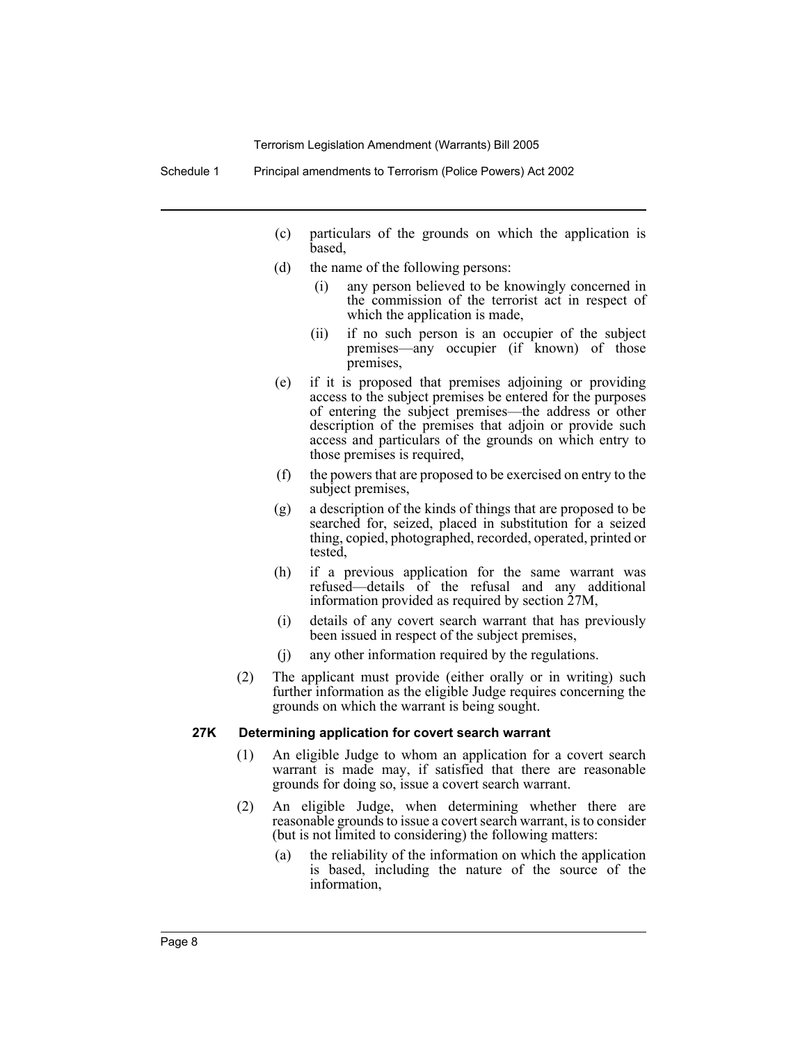- (c) particulars of the grounds on which the application is based,
- (d) the name of the following persons:
	- (i) any person believed to be knowingly concerned in the commission of the terrorist act in respect of which the application is made,
	- (ii) if no such person is an occupier of the subject premises—any occupier (if known) of those premises,
- (e) if it is proposed that premises adjoining or providing access to the subject premises be entered for the purposes of entering the subject premises—the address or other description of the premises that adjoin or provide such access and particulars of the grounds on which entry to those premises is required,
- (f) the powers that are proposed to be exercised on entry to the subject premises,
- (g) a description of the kinds of things that are proposed to be searched for, seized, placed in substitution for a seized thing, copied, photographed, recorded, operated, printed or tested,
- (h) if a previous application for the same warrant was refused—details of the refusal and any additional information provided as required by section 27M,
- (i) details of any covert search warrant that has previously been issued in respect of the subject premises,
- (j) any other information required by the regulations.
- (2) The applicant must provide (either orally or in writing) such further information as the eligible Judge requires concerning the grounds on which the warrant is being sought.

#### **27K Determining application for covert search warrant**

- (1) An eligible Judge to whom an application for a covert search warrant is made may, if satisfied that there are reasonable grounds for doing so, issue a covert search warrant.
- (2) An eligible Judge, when determining whether there are reasonable grounds to issue a covert search warrant, is to consider (but is not limited to considering) the following matters:
	- (a) the reliability of the information on which the application is based, including the nature of the source of the information,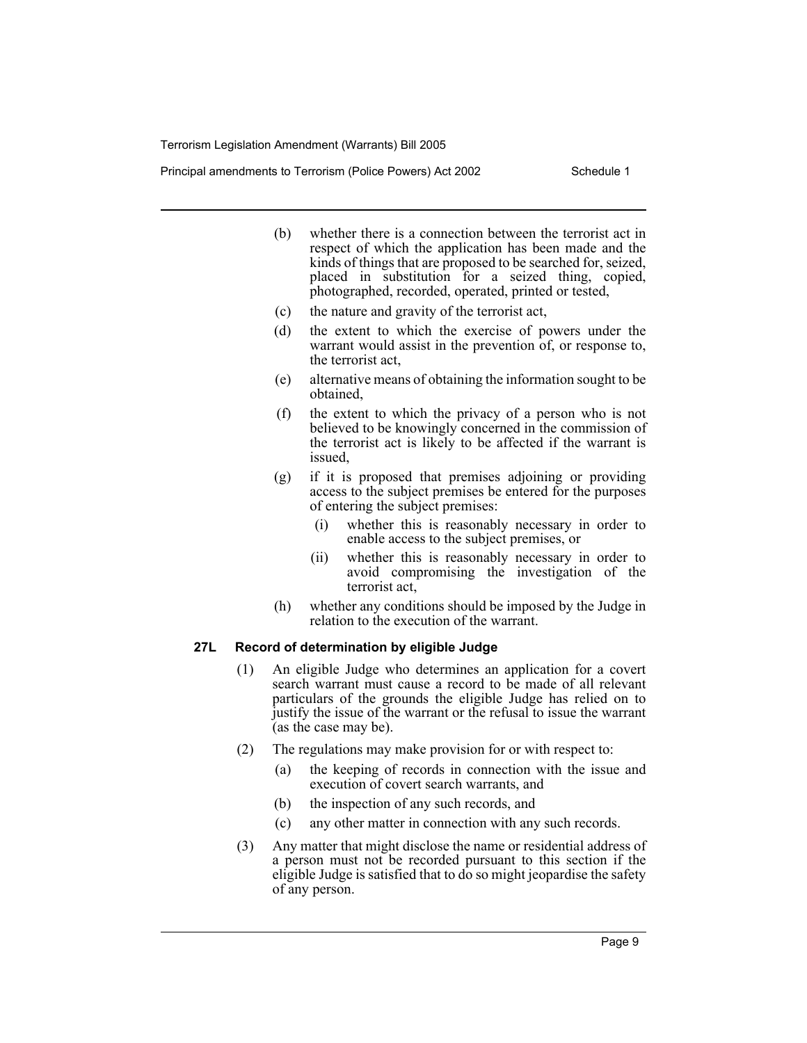Principal amendments to Terrorism (Police Powers) Act 2002 Schedule 1

- (b) whether there is a connection between the terrorist act in respect of which the application has been made and the kinds of things that are proposed to be searched for, seized, placed in substitution for a seized thing, copied, photographed, recorded, operated, printed or tested,
- (c) the nature and gravity of the terrorist act,
- (d) the extent to which the exercise of powers under the warrant would assist in the prevention of, or response to, the terrorist act,
- (e) alternative means of obtaining the information sought to be obtained,
- (f) the extent to which the privacy of a person who is not believed to be knowingly concerned in the commission of the terrorist act is likely to be affected if the warrant is issued,
- (g) if it is proposed that premises adjoining or providing access to the subject premises be entered for the purposes of entering the subject premises:
	- (i) whether this is reasonably necessary in order to enable access to the subject premises, or
	- (ii) whether this is reasonably necessary in order to avoid compromising the investigation of the terrorist act,
- (h) whether any conditions should be imposed by the Judge in relation to the execution of the warrant.

#### **27L Record of determination by eligible Judge**

- (1) An eligible Judge who determines an application for a covert search warrant must cause a record to be made of all relevant particulars of the grounds the eligible Judge has relied on to justify the issue of the warrant or the refusal to issue the warrant (as the case may be).
- (2) The regulations may make provision for or with respect to:
	- (a) the keeping of records in connection with the issue and execution of covert search warrants, and
	- (b) the inspection of any such records, and
	- (c) any other matter in connection with any such records.
- (3) Any matter that might disclose the name or residential address of a person must not be recorded pursuant to this section if the eligible Judge is satisfied that to do so might jeopardise the safety of any person.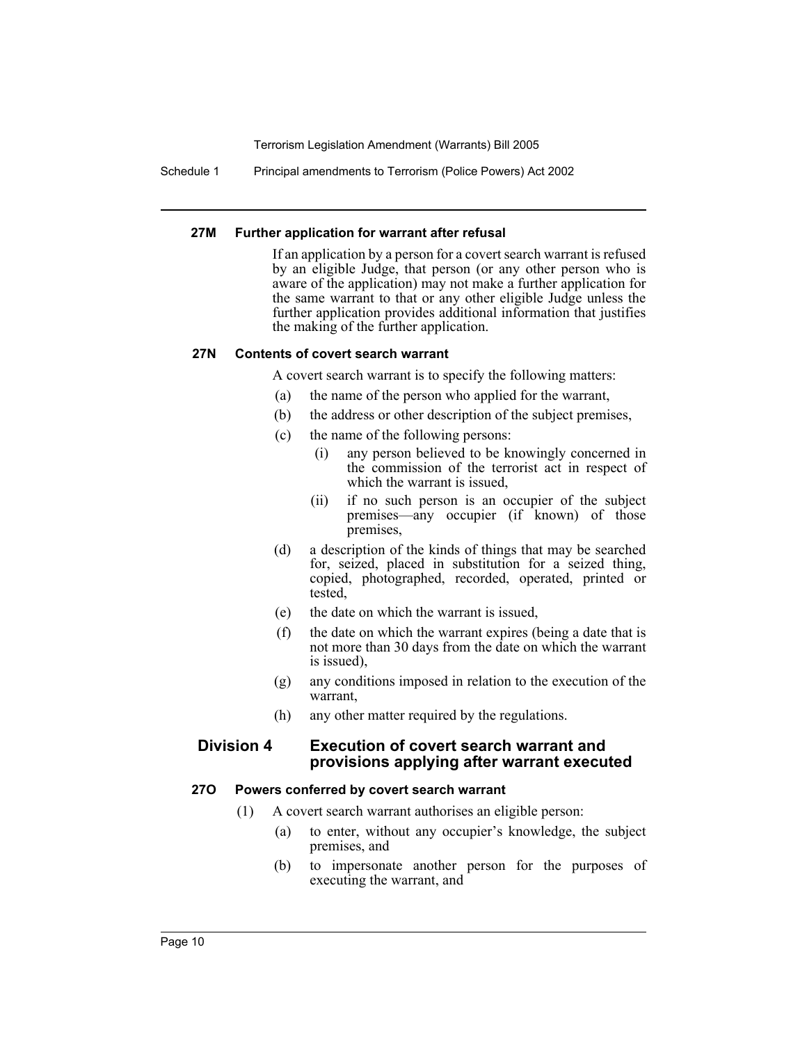Schedule 1 Principal amendments to Terrorism (Police Powers) Act 2002

### **27M Further application for warrant after refusal**

If an application by a person for a covert search warrant is refused by an eligible Judge, that person (or any other person who is aware of the application) may not make a further application for the same warrant to that or any other eligible Judge unless the further application provides additional information that justifies the making of the further application.

### **27N Contents of covert search warrant**

A covert search warrant is to specify the following matters:

- (a) the name of the person who applied for the warrant,
- (b) the address or other description of the subject premises,
- (c) the name of the following persons:
	- (i) any person believed to be knowingly concerned in the commission of the terrorist act in respect of which the warrant is issued,
	- (ii) if no such person is an occupier of the subject premises—any occupier (if known) of those premises,
- (d) a description of the kinds of things that may be searched for, seized, placed in substitution for a seized thing, copied, photographed, recorded, operated, printed or tested,
- (e) the date on which the warrant is issued,
- (f) the date on which the warrant expires (being a date that is not more than 30 days from the date on which the warrant is issued),
- (g) any conditions imposed in relation to the execution of the warrant,
- (h) any other matter required by the regulations.

# **Division 4 Execution of covert search warrant and provisions applying after warrant executed**

#### **27O Powers conferred by covert search warrant**

- (1) A covert search warrant authorises an eligible person:
	- (a) to enter, without any occupier's knowledge, the subject premises, and
	- (b) to impersonate another person for the purposes of executing the warrant, and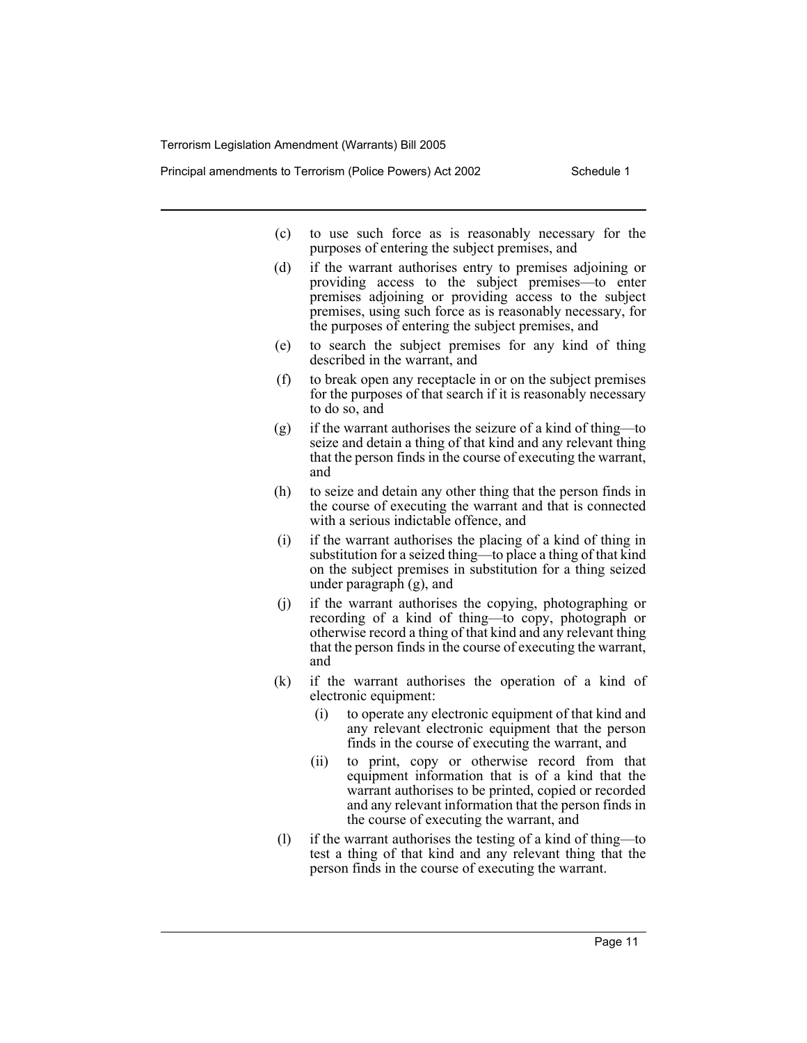Principal amendments to Terrorism (Police Powers) Act 2002 Schedule 1

- (c) to use such force as is reasonably necessary for the purposes of entering the subject premises, and
- (d) if the warrant authorises entry to premises adjoining or providing access to the subject premises—to enter premises adjoining or providing access to the subject premises, using such force as is reasonably necessary, for the purposes of entering the subject premises, and
- (e) to search the subject premises for any kind of thing described in the warrant, and
- (f) to break open any receptacle in or on the subject premises for the purposes of that search if it is reasonably necessary to do so, and
- (g) if the warrant authorises the seizure of a kind of thing—to seize and detain a thing of that kind and any relevant thing that the person finds in the course of executing the warrant, and
- (h) to seize and detain any other thing that the person finds in the course of executing the warrant and that is connected with a serious indictable offence, and
- (i) if the warrant authorises the placing of a kind of thing in substitution for a seized thing—to place a thing of that kind on the subject premises in substitution for a thing seized under paragraph (g), and
- (j) if the warrant authorises the copying, photographing or recording of a kind of thing—to copy, photograph or otherwise record a thing of that kind and any relevant thing that the person finds in the course of executing the warrant, and
- (k) if the warrant authorises the operation of a kind of electronic equipment:
	- (i) to operate any electronic equipment of that kind and any relevant electronic equipment that the person finds in the course of executing the warrant, and
	- (ii) to print, copy or otherwise record from that equipment information that is of a kind that the warrant authorises to be printed, copied or recorded and any relevant information that the person finds in the course of executing the warrant, and
- (l) if the warrant authorises the testing of a kind of thing—to test a thing of that kind and any relevant thing that the person finds in the course of executing the warrant.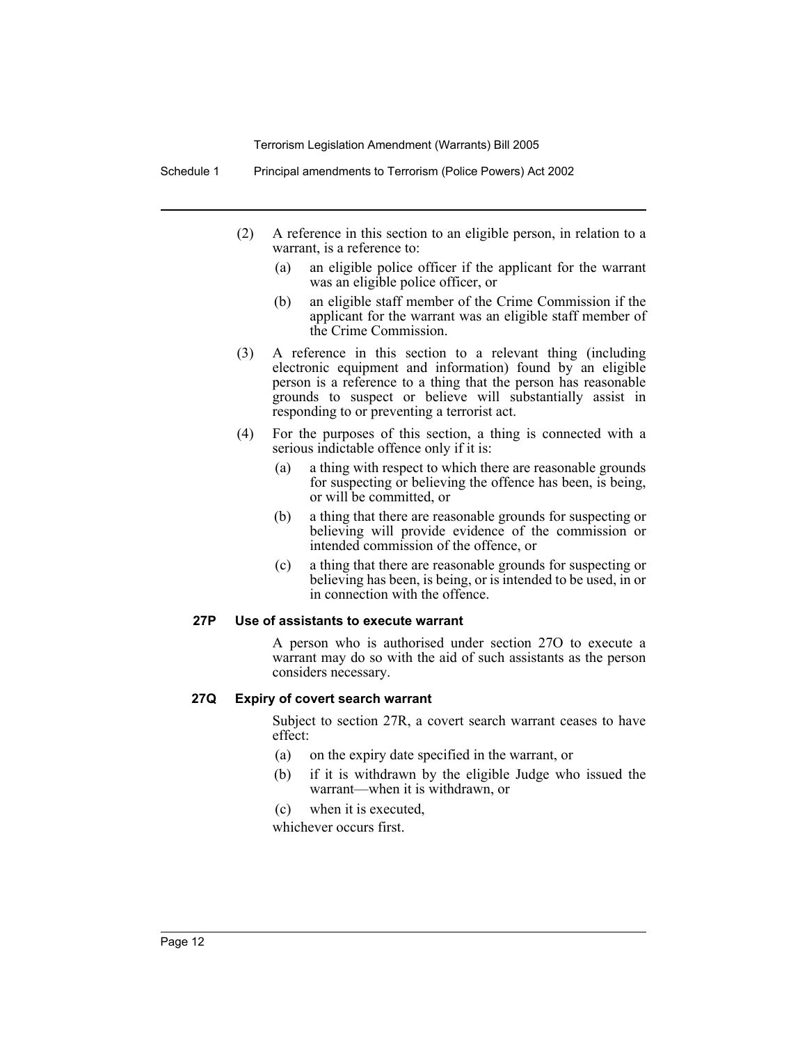Schedule 1 Principal amendments to Terrorism (Police Powers) Act 2002

- (2) A reference in this section to an eligible person, in relation to a warrant, is a reference to:
	- (a) an eligible police officer if the applicant for the warrant was an eligible police officer, or
	- (b) an eligible staff member of the Crime Commission if the applicant for the warrant was an eligible staff member of the Crime Commission.
- (3) A reference in this section to a relevant thing (including electronic equipment and information) found by an eligible person is a reference to a thing that the person has reasonable grounds to suspect or believe will substantially assist in responding to or preventing a terrorist act.
- (4) For the purposes of this section, a thing is connected with a serious indictable offence only if it is:
	- (a) a thing with respect to which there are reasonable grounds for suspecting or believing the offence has been, is being, or will be committed, or
	- (b) a thing that there are reasonable grounds for suspecting or believing will provide evidence of the commission or intended commission of the offence, or
	- (c) a thing that there are reasonable grounds for suspecting or believing has been, is being, or is intended to be used, in or in connection with the offence.

#### **27P Use of assistants to execute warrant**

A person who is authorised under section 27O to execute a warrant may do so with the aid of such assistants as the person considers necessary.

#### **27Q Expiry of covert search warrant**

Subject to section 27R, a covert search warrant ceases to have effect:

- (a) on the expiry date specified in the warrant, or
- (b) if it is withdrawn by the eligible Judge who issued the warrant—when it is withdrawn, or
- (c) when it is executed,

whichever occurs first.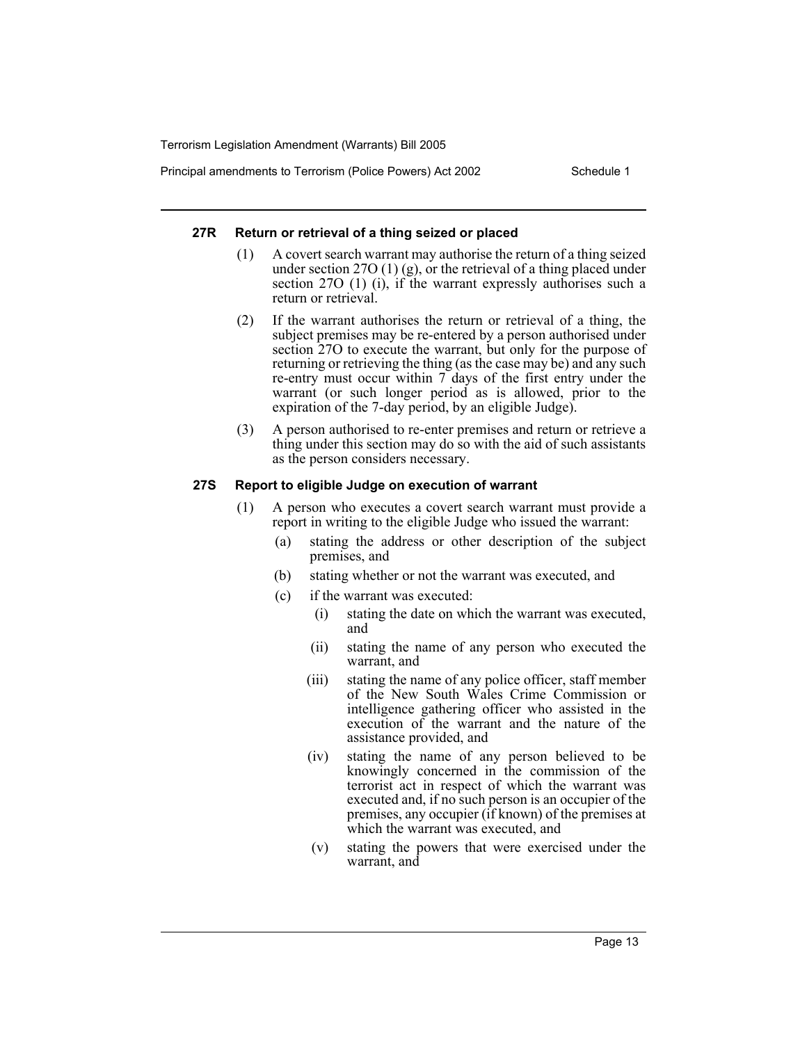Principal amendments to Terrorism (Police Powers) Act 2002 Schedule 1

## **27R Return or retrieval of a thing seized or placed**

- (1) A covert search warrant may authorise the return of a thing seized under section 27O (1) (g), or the retrieval of a thing placed under section 27O (1) (i), if the warrant expressly authorises such a return or retrieval.
- (2) If the warrant authorises the return or retrieval of a thing, the subject premises may be re-entered by a person authorised under section 27O to execute the warrant, but only for the purpose of returning or retrieving the thing (as the case may be) and any such re-entry must occur within 7 days of the first entry under the warrant (or such longer period as is allowed, prior to the expiration of the 7-day period, by an eligible Judge).
- (3) A person authorised to re-enter premises and return or retrieve a thing under this section may do so with the aid of such assistants as the person considers necessary.

# **27S Report to eligible Judge on execution of warrant**

- (1) A person who executes a covert search warrant must provide a report in writing to the eligible Judge who issued the warrant:
	- (a) stating the address or other description of the subject premises, and
	- (b) stating whether or not the warrant was executed, and
	- (c) if the warrant was executed:
		- (i) stating the date on which the warrant was executed, and
		- (ii) stating the name of any person who executed the warrant, and
		- (iii) stating the name of any police officer, staff member of the New South Wales Crime Commission or intelligence gathering officer who assisted in the execution of the warrant and the nature of the assistance provided, and
		- (iv) stating the name of any person believed to be knowingly concerned in the commission of the terrorist act in respect of which the warrant was executed and, if no such person is an occupier of the premises, any occupier (if known) of the premises at which the warrant was executed, and
		- (v) stating the powers that were exercised under the warrant, and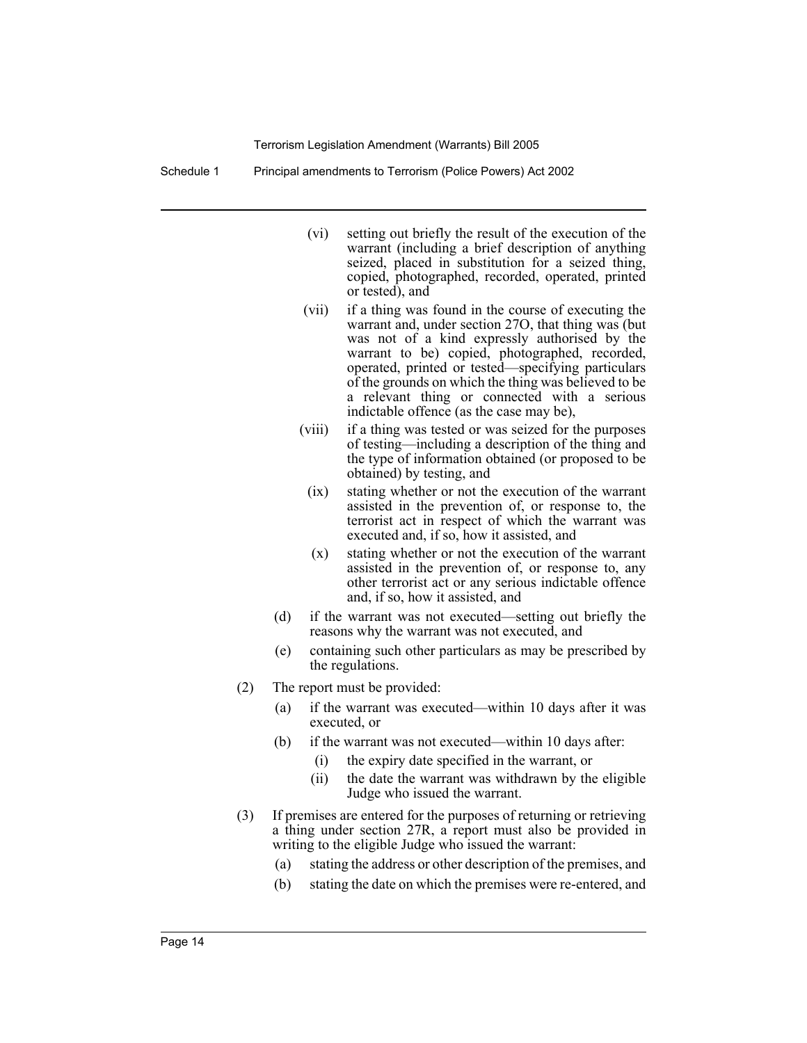Schedule 1 Principal amendments to Terrorism (Police Powers) Act 2002

- (vi) setting out briefly the result of the execution of the warrant (including a brief description of anything seized, placed in substitution for a seized thing, copied, photographed, recorded, operated, printed or tested), and
- (vii) if a thing was found in the course of executing the warrant and, under section 27O, that thing was (but was not of a kind expressly authorised by the warrant to be) copied, photographed, recorded, operated, printed or tested—specifying particulars of the grounds on which the thing was believed to be a relevant thing or connected with a serious indictable offence (as the case may be),
- (viii) if a thing was tested or was seized for the purposes of testing—including a description of the thing and the type of information obtained (or proposed to be obtained) by testing, and
	- (ix) stating whether or not the execution of the warrant assisted in the prevention of, or response to, the terrorist act in respect of which the warrant was executed and, if so, how it assisted, and
	- (x) stating whether or not the execution of the warrant assisted in the prevention of, or response to, any other terrorist act or any serious indictable offence and, if so, how it assisted, and
- (d) if the warrant was not executed—setting out briefly the reasons why the warrant was not executed, and
- (e) containing such other particulars as may be prescribed by the regulations.
- (2) The report must be provided:
	- (a) if the warrant was executed—within 10 days after it was executed, or
	- (b) if the warrant was not executed—within 10 days after:
		- (i) the expiry date specified in the warrant, or
		- (ii) the date the warrant was withdrawn by the eligible Judge who issued the warrant.
- (3) If premises are entered for the purposes of returning or retrieving a thing under section 27R, a report must also be provided in writing to the eligible Judge who issued the warrant:
	- (a) stating the address or other description of the premises, and
	- (b) stating the date on which the premises were re-entered, and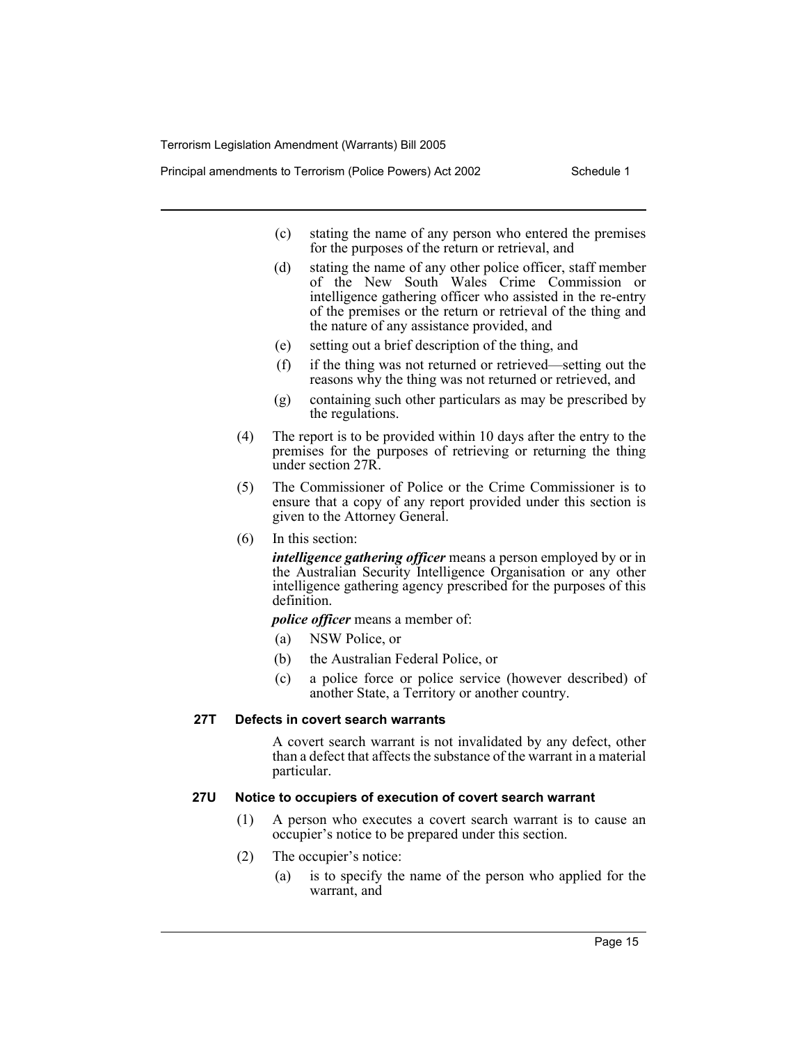Principal amendments to Terrorism (Police Powers) Act 2002 Schedule 1

- (c) stating the name of any person who entered the premises for the purposes of the return or retrieval, and
- (d) stating the name of any other police officer, staff member of the New South Wales Crime Commission or intelligence gathering officer who assisted in the re-entry of the premises or the return or retrieval of the thing and the nature of any assistance provided, and
- (e) setting out a brief description of the thing, and
- (f) if the thing was not returned or retrieved—setting out the reasons why the thing was not returned or retrieved, and
- (g) containing such other particulars as may be prescribed by the regulations.
- (4) The report is to be provided within 10 days after the entry to the premises for the purposes of retrieving or returning the thing under section 27R.
- (5) The Commissioner of Police or the Crime Commissioner is to ensure that a copy of any report provided under this section is given to the Attorney General.
- (6) In this section:

*intelligence gathering officer* means a person employed by or in the Australian Security Intelligence Organisation or any other intelligence gathering agency prescribed for the purposes of this definition.

*police officer* means a member of:

- (a) NSW Police, or
- (b) the Australian Federal Police, or
- (c) a police force or police service (however described) of another State, a Territory or another country.

#### **27T Defects in covert search warrants**

A covert search warrant is not invalidated by any defect, other than a defect that affects the substance of the warrant in a material particular.

#### **27U Notice to occupiers of execution of covert search warrant**

- (1) A person who executes a covert search warrant is to cause an occupier's notice to be prepared under this section.
- (2) The occupier's notice:
	- (a) is to specify the name of the person who applied for the warrant, and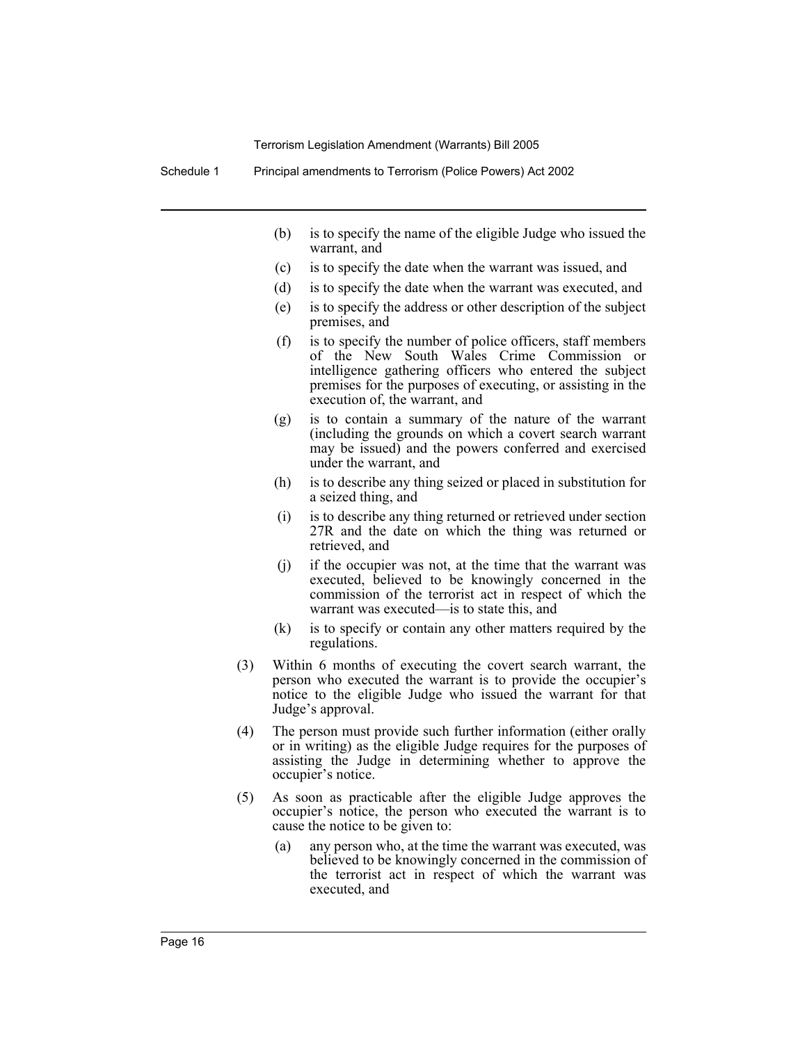- (b) is to specify the name of the eligible Judge who issued the warrant, and
- (c) is to specify the date when the warrant was issued, and
- (d) is to specify the date when the warrant was executed, and
- (e) is to specify the address or other description of the subject premises, and
- (f) is to specify the number of police officers, staff members of the New South Wales Crime Commission or intelligence gathering officers who entered the subject premises for the purposes of executing, or assisting in the execution of, the warrant, and
- (g) is to contain a summary of the nature of the warrant (including the grounds on which a covert search warrant may be issued) and the powers conferred and exercised under the warrant, and
- (h) is to describe any thing seized or placed in substitution for a seized thing, and
- (i) is to describe any thing returned or retrieved under section 27R and the date on which the thing was returned or retrieved, and
- (j) if the occupier was not, at the time that the warrant was executed, believed to be knowingly concerned in the commission of the terrorist act in respect of which the warrant was executed—is to state this, and
- (k) is to specify or contain any other matters required by the regulations.
- (3) Within 6 months of executing the covert search warrant, the person who executed the warrant is to provide the occupier's notice to the eligible Judge who issued the warrant for that Judge's approval.
- (4) The person must provide such further information (either orally or in writing) as the eligible Judge requires for the purposes of assisting the Judge in determining whether to approve the occupier's notice.
- (5) As soon as practicable after the eligible Judge approves the occupier's notice, the person who executed the warrant is to cause the notice to be given to:
	- (a) any person who, at the time the warrant was executed, was believed to be knowingly concerned in the commission of the terrorist act in respect of which the warrant was executed, and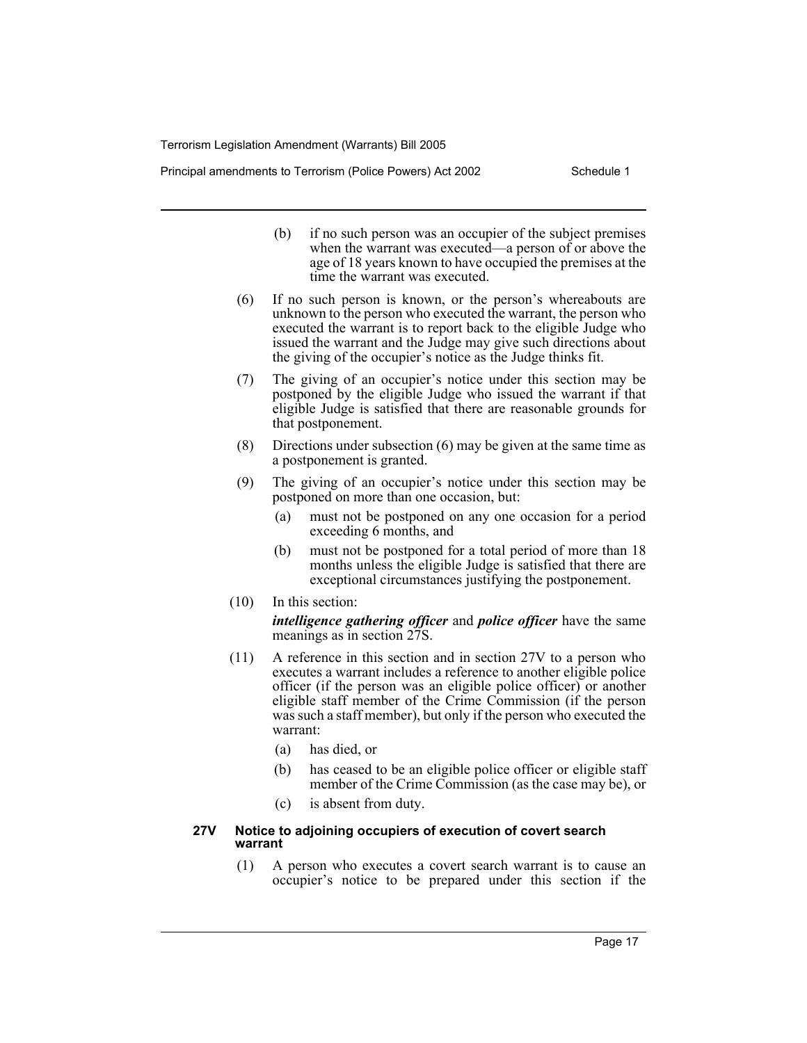Principal amendments to Terrorism (Police Powers) Act 2002 Schedule 1

- (b) if no such person was an occupier of the subject premises when the warrant was executed—a person of or above the age of 18 years known to have occupied the premises at the time the warrant was executed.
- (6) If no such person is known, or the person's whereabouts are unknown to the person who executed the warrant, the person who executed the warrant is to report back to the eligible Judge who issued the warrant and the Judge may give such directions about the giving of the occupier's notice as the Judge thinks fit.
- (7) The giving of an occupier's notice under this section may be postponed by the eligible Judge who issued the warrant if that eligible Judge is satisfied that there are reasonable grounds for that postponement.
- (8) Directions under subsection (6) may be given at the same time as a postponement is granted.
- (9) The giving of an occupier's notice under this section may be postponed on more than one occasion, but:
	- (a) must not be postponed on any one occasion for a period exceeding 6 months, and
	- (b) must not be postponed for a total period of more than 18 months unless the eligible Judge is satisfied that there are exceptional circumstances justifying the postponement.
- (10) In this section:

*intelligence gathering officer* and *police officer* have the same meanings as in section 27S.

- (11) A reference in this section and in section 27V to a person who executes a warrant includes a reference to another eligible police officer (if the person was an eligible police officer) or another eligible staff member of the Crime Commission (if the person was such a staff member), but only if the person who executed the warrant:
	- (a) has died, or
	- (b) has ceased to be an eligible police officer or eligible staff member of the Crime Commission (as the case may be), or
	- (c) is absent from duty.

#### **27V Notice to adjoining occupiers of execution of covert search warrant**

(1) A person who executes a covert search warrant is to cause an occupier's notice to be prepared under this section if the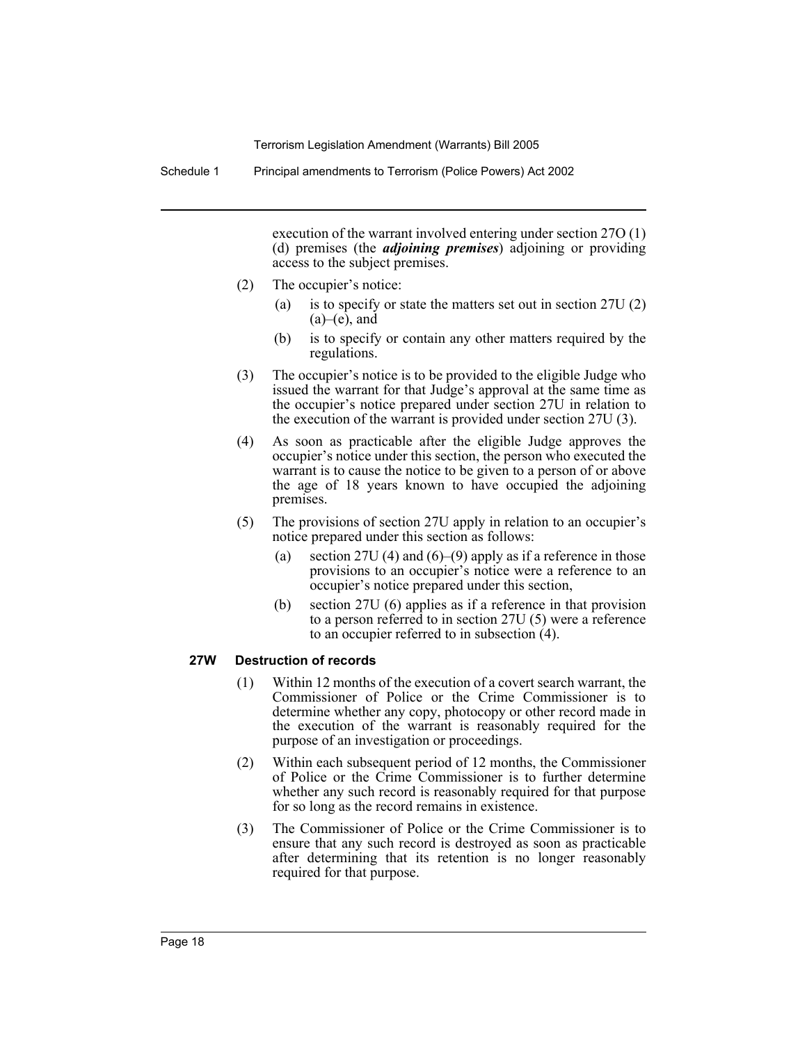Schedule 1 Principal amendments to Terrorism (Police Powers) Act 2002

execution of the warrant involved entering under section 27O (1) (d) premises (the *adjoining premises*) adjoining or providing access to the subject premises.

- (2) The occupier's notice:
	- (a) is to specify or state the matters set out in section 27U (2)  $(a)$ – $(e)$ , and
	- (b) is to specify or contain any other matters required by the regulations.
- (3) The occupier's notice is to be provided to the eligible Judge who issued the warrant for that Judge's approval at the same time as the occupier's notice prepared under section 27U in relation to the execution of the warrant is provided under section 27U (3).
- (4) As soon as practicable after the eligible Judge approves the occupier's notice under this section, the person who executed the warrant is to cause the notice to be given to a person of or above the age of 18 years known to have occupied the adjoining premises.
- (5) The provisions of section 27U apply in relation to an occupier's notice prepared under this section as follows:
	- (a) section 27U (4) and  $(6)$ –(9) apply as if a reference in those provisions to an occupier's notice were a reference to an occupier's notice prepared under this section,
	- (b) section 27U (6) applies as if a reference in that provision to a person referred to in section 27U (5) were a reference to an occupier referred to in subsection (4).

#### **27W Destruction of records**

- (1) Within 12 months of the execution of a covert search warrant, the Commissioner of Police or the Crime Commissioner is to determine whether any copy, photocopy or other record made in the execution of the warrant is reasonably required for the purpose of an investigation or proceedings.
- (2) Within each subsequent period of 12 months, the Commissioner of Police or the Crime Commissioner is to further determine whether any such record is reasonably required for that purpose for so long as the record remains in existence.
- (3) The Commissioner of Police or the Crime Commissioner is to ensure that any such record is destroyed as soon as practicable after determining that its retention is no longer reasonably required for that purpose.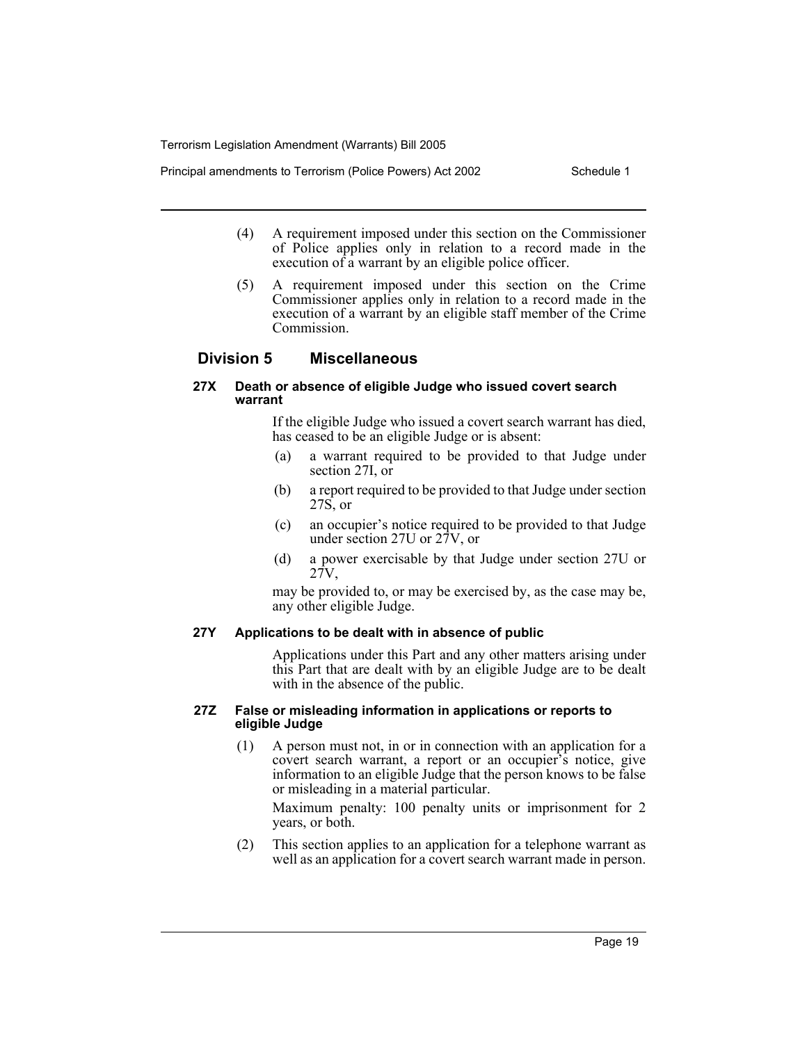Principal amendments to Terrorism (Police Powers) Act 2002 Schedule 1

- (4) A requirement imposed under this section on the Commissioner of Police applies only in relation to a record made in the execution of a warrant by an eligible police officer.
- (5) A requirement imposed under this section on the Crime Commissioner applies only in relation to a record made in the execution of a warrant by an eligible staff member of the Crime Commission.

# **Division 5 Miscellaneous**

## **27X Death or absence of eligible Judge who issued covert search warrant**

If the eligible Judge who issued a covert search warrant has died, has ceased to be an eligible Judge or is absent:

- (a) a warrant required to be provided to that Judge under section 27I, or
- (b) a report required to be provided to that Judge under section 27S, or
- (c) an occupier's notice required to be provided to that Judge under section 27U or 27V, or
- (d) a power exercisable by that Judge under section 27U or 27V,

may be provided to, or may be exercised by, as the case may be, any other eligible Judge.

# **27Y Applications to be dealt with in absence of public**

Applications under this Part and any other matters arising under this Part that are dealt with by an eligible Judge are to be dealt with in the absence of the public.

#### **27Z False or misleading information in applications or reports to eligible Judge**

(1) A person must not, in or in connection with an application for a covert search warrant, a report or an occupier's notice, give information to an eligible Judge that the person knows to be false or misleading in a material particular.

Maximum penalty: 100 penalty units or imprisonment for 2 years, or both.

(2) This section applies to an application for a telephone warrant as well as an application for a covert search warrant made in person.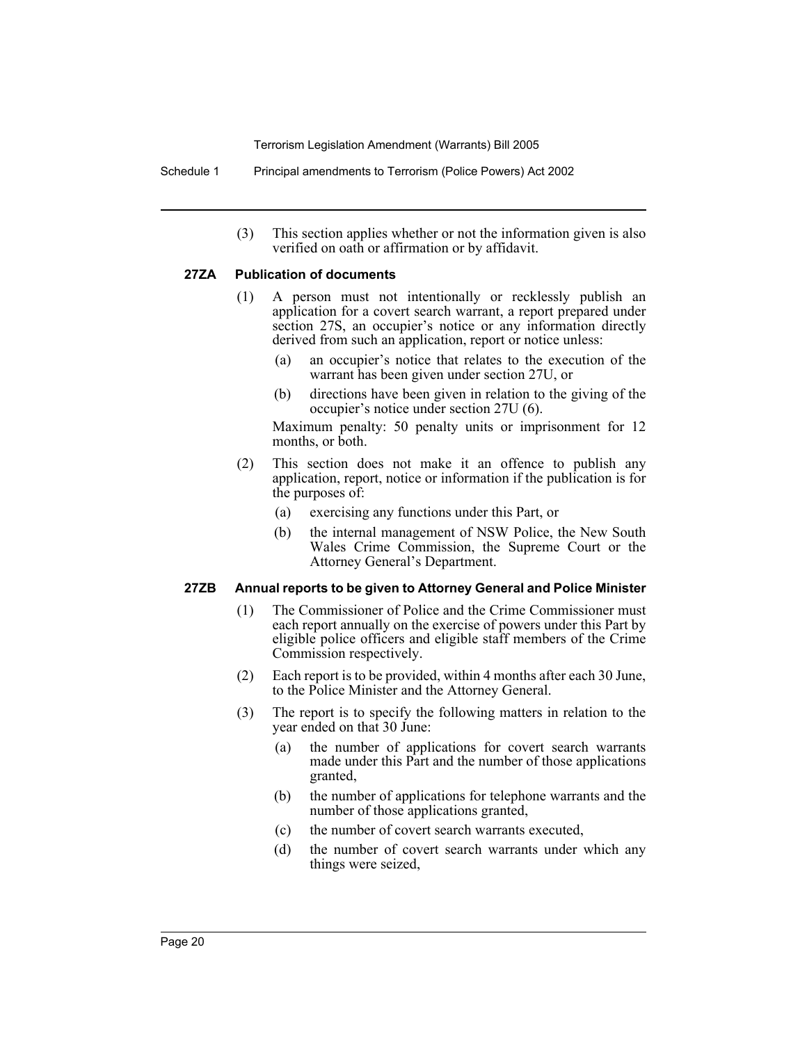Schedule 1 Principal amendments to Terrorism (Police Powers) Act 2002

(3) This section applies whether or not the information given is also verified on oath or affirmation or by affidavit.

# **27ZA Publication of documents**

- (1) A person must not intentionally or recklessly publish an application for a covert search warrant, a report prepared under section 27S, an occupier's notice or any information directly derived from such an application, report or notice unless:
	- (a) an occupier's notice that relates to the execution of the warrant has been given under section 27U, or
	- (b) directions have been given in relation to the giving of the occupier's notice under section 27U (6).

Maximum penalty: 50 penalty units or imprisonment for 12 months, or both.

- (2) This section does not make it an offence to publish any application, report, notice or information if the publication is for the purposes of:
	- (a) exercising any functions under this Part, or
	- (b) the internal management of NSW Police, the New South Wales Crime Commission, the Supreme Court or the Attorney General's Department.

#### **27ZB Annual reports to be given to Attorney General and Police Minister**

- (1) The Commissioner of Police and the Crime Commissioner must each report annually on the exercise of powers under this Part by eligible police officers and eligible staff members of the Crime Commission respectively.
- (2) Each report is to be provided, within 4 months after each 30 June, to the Police Minister and the Attorney General.
- (3) The report is to specify the following matters in relation to the year ended on that 30 June:
	- (a) the number of applications for covert search warrants made under this Part and the number of those applications granted,
	- (b) the number of applications for telephone warrants and the number of those applications granted,
	- (c) the number of covert search warrants executed,
	- (d) the number of covert search warrants under which any things were seized,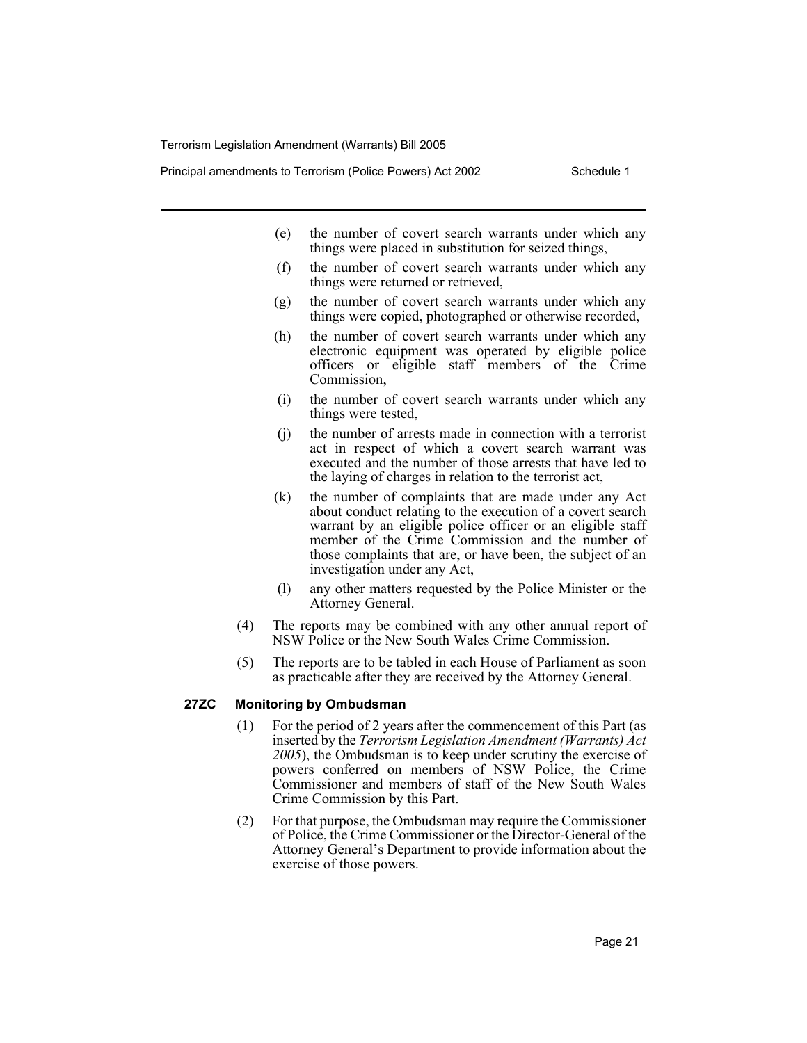Principal amendments to Terrorism (Police Powers) Act 2002 Schedule 1

- (e) the number of covert search warrants under which any things were placed in substitution for seized things,
- (f) the number of covert search warrants under which any things were returned or retrieved,
- (g) the number of covert search warrants under which any things were copied, photographed or otherwise recorded,
- (h) the number of covert search warrants under which any electronic equipment was operated by eligible police officers or eligible staff members of the Crime Commission,
- (i) the number of covert search warrants under which any things were tested,
- (j) the number of arrests made in connection with a terrorist act in respect of which a covert search warrant was executed and the number of those arrests that have led to the laying of charges in relation to the terrorist act,
- (k) the number of complaints that are made under any Act about conduct relating to the execution of a covert search warrant by an eligible police officer or an eligible staff member of the Crime Commission and the number of those complaints that are, or have been, the subject of an investigation under any Act,
- (l) any other matters requested by the Police Minister or the Attorney General.
- (4) The reports may be combined with any other annual report of NSW Police or the New South Wales Crime Commission.
- (5) The reports are to be tabled in each House of Parliament as soon as practicable after they are received by the Attorney General.

#### **27ZC Monitoring by Ombudsman**

- (1) For the period of 2 years after the commencement of this Part (as inserted by the *Terrorism Legislation Amendment (Warrants) Act 2005*), the Ombudsman is to keep under scrutiny the exercise of powers conferred on members of NSW Police, the Crime Commissioner and members of staff of the New South Wales Crime Commission by this Part.
- (2) For that purpose, the Ombudsman may require the Commissioner of Police, the Crime Commissioner or the Director-General of the Attorney General's Department to provide information about the exercise of those powers.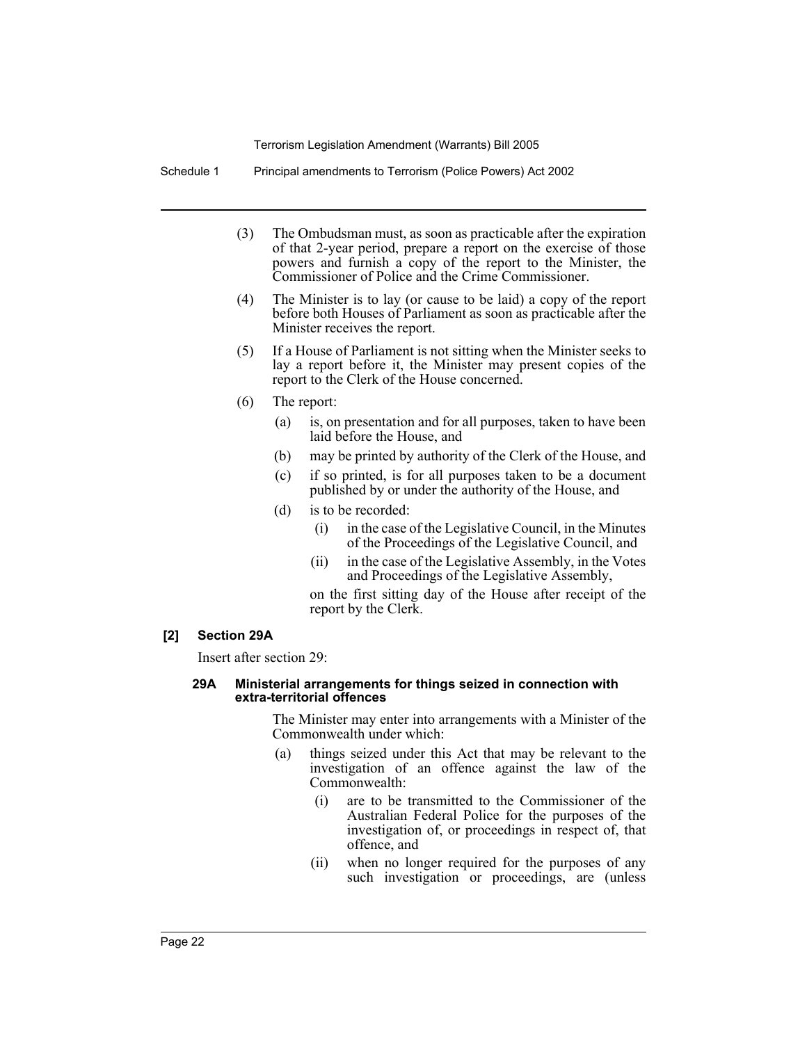Schedule 1 Principal amendments to Terrorism (Police Powers) Act 2002

- (3) The Ombudsman must, as soon as practicable after the expiration of that 2-year period, prepare a report on the exercise of those powers and furnish a copy of the report to the Minister, the Commissioner of Police and the Crime Commissioner.
- (4) The Minister is to lay (or cause to be laid) a copy of the report before both Houses of Parliament as soon as practicable after the Minister receives the report.
- (5) If a House of Parliament is not sitting when the Minister seeks to lay a report before it, the Minister may present copies of the report to the Clerk of the House concerned.
- (6) The report:
	- (a) is, on presentation and for all purposes, taken to have been laid before the House, and
	- (b) may be printed by authority of the Clerk of the House, and
	- (c) if so printed, is for all purposes taken to be a document published by or under the authority of the House, and
	- (d) is to be recorded:
		- (i) in the case of the Legislative Council, in the Minutes of the Proceedings of the Legislative Council, and
		- (ii) in the case of the Legislative Assembly, in the Votes and Proceedings of the Legislative Assembly,

on the first sitting day of the House after receipt of the report by the Clerk.

#### **[2] Section 29A**

Insert after section 29:

#### **29A Ministerial arrangements for things seized in connection with extra-territorial offences**

The Minister may enter into arrangements with a Minister of the Commonwealth under which:

- (a) things seized under this Act that may be relevant to the investigation of an offence against the law of the Commonwealth:
	- (i) are to be transmitted to the Commissioner of the Australian Federal Police for the purposes of the investigation of, or proceedings in respect of, that offence, and
	- (ii) when no longer required for the purposes of any such investigation or proceedings, are (unless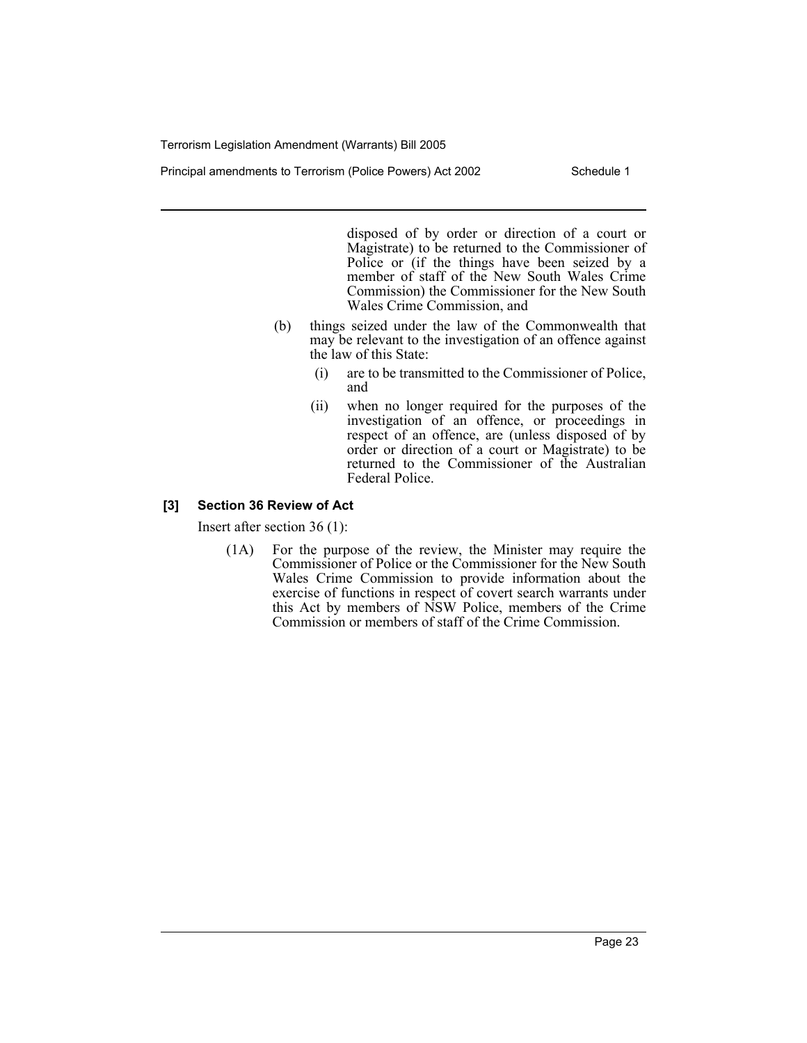Principal amendments to Terrorism (Police Powers) Act 2002 Schedule 1

disposed of by order or direction of a court or Magistrate) to be returned to the Commissioner of Police or (if the things have been seized by a member of staff of the New South Wales Crime Commission) the Commissioner for the New South Wales Crime Commission, and

- (b) things seized under the law of the Commonwealth that may be relevant to the investigation of an offence against the law of this State:
	- (i) are to be transmitted to the Commissioner of Police, and
	- (ii) when no longer required for the purposes of the investigation of an offence, or proceedings in respect of an offence, are (unless disposed of by order or direction of a court or Magistrate) to be returned to the Commissioner of the Australian Federal Police.

# **[3] Section 36 Review of Act**

Insert after section 36 (1):

(1A) For the purpose of the review, the Minister may require the Commissioner of Police or the Commissioner for the New South Wales Crime Commission to provide information about the exercise of functions in respect of covert search warrants under this Act by members of NSW Police, members of the Crime Commission or members of staff of the Crime Commission.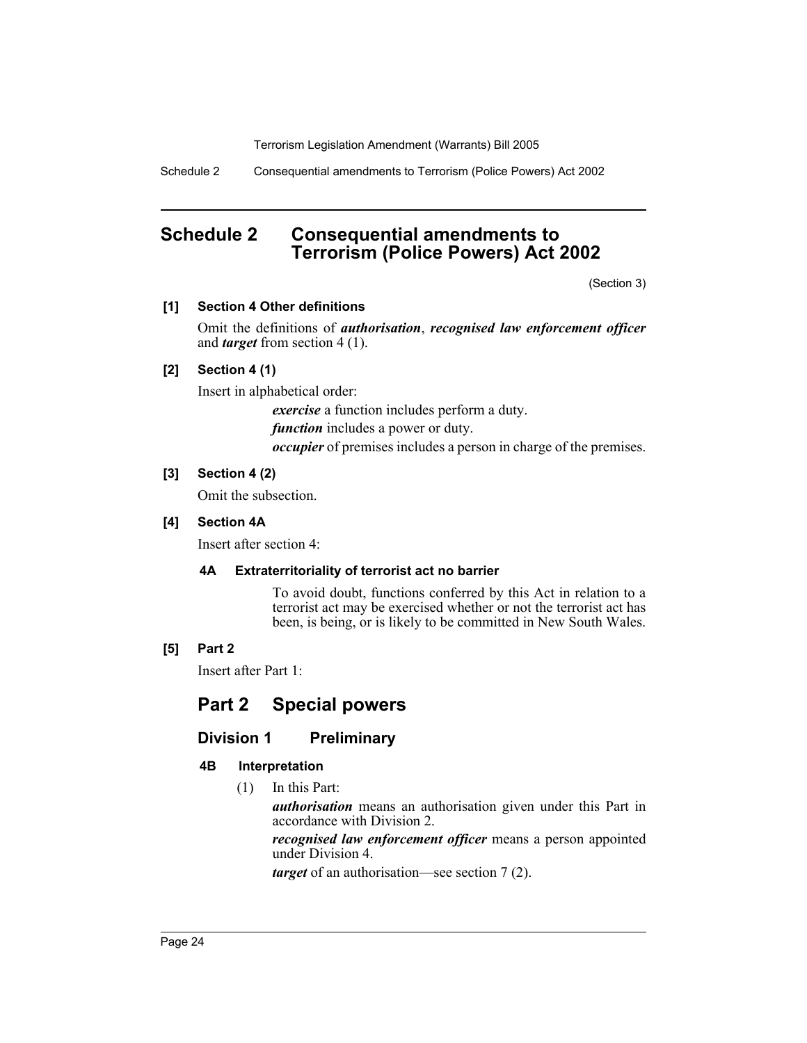Schedule 2 Consequential amendments to Terrorism (Police Powers) Act 2002

# **Schedule 2 Consequential amendments to Terrorism (Police Powers) Act 2002**

(Section 3)

# **[1] Section 4 Other definitions**

Omit the definitions of *authorisation*, *recognised law enforcement officer* and *target* from section 4 (1).

# **[2] Section 4 (1)**

Insert in alphabetical order:

*exercise* a function includes perform a duty.

*function* includes a power or duty.

*occupier* of premises includes a person in charge of the premises.

# **[3] Section 4 (2)**

Omit the subsection.

# **[4] Section 4A**

Insert after section 4:

# **4A Extraterritoriality of terrorist act no barrier**

To avoid doubt, functions conferred by this Act in relation to a terrorist act may be exercised whether or not the terrorist act has been, is being, or is likely to be committed in New South Wales.

# **[5] Part 2**

Insert after Part 1:

# **Part 2 Special powers**

# **Division 1 Preliminary**

# **4B Interpretation**

(1) In this Part:

*authorisation* means an authorisation given under this Part in accordance with Division 2.

*recognised law enforcement officer* means a person appointed under Division 4.

*target* of an authorisation—see section 7 (2).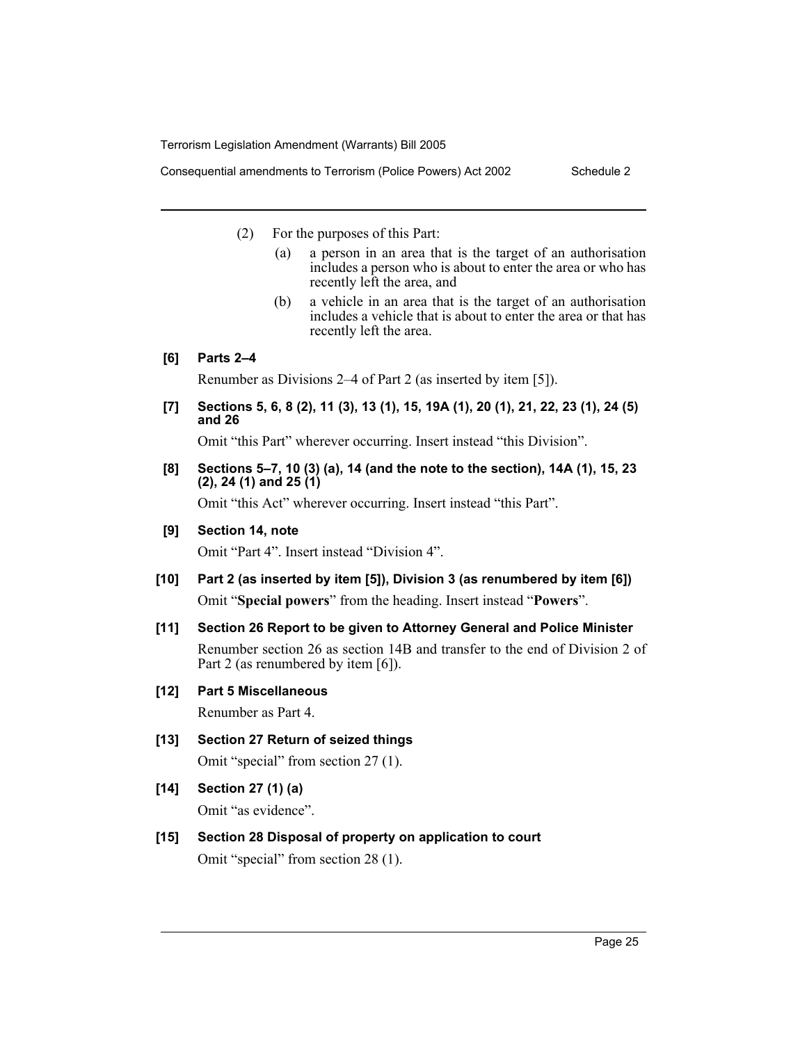Consequential amendments to Terrorism (Police Powers) Act 2002 Schedule 2

- (2) For the purposes of this Part:
	- (a) a person in an area that is the target of an authorisation includes a person who is about to enter the area or who has recently left the area, and
	- (b) a vehicle in an area that is the target of an authorisation includes a vehicle that is about to enter the area or that has recently left the area.

# **[6] Parts 2–4**

Renumber as Divisions 2–4 of Part 2 (as inserted by item [5]).

**[7] Sections 5, 6, 8 (2), 11 (3), 13 (1), 15, 19A (1), 20 (1), 21, 22, 23 (1), 24 (5) and 26**

Omit "this Part" wherever occurring. Insert instead "this Division".

**[8] Sections 5–7, 10 (3) (a), 14 (and the note to the section), 14A (1), 15, 23 (2), 24 (1) and 25 (1)**

Omit "this Act" wherever occurring. Insert instead "this Part".

**[9] Section 14, note**

Omit "Part 4". Insert instead "Division 4".

- **[10] Part 2 (as inserted by item [5]), Division 3 (as renumbered by item [6])** Omit "**Special powers**" from the heading. Insert instead "**Powers**".
- **[11] Section 26 Report to be given to Attorney General and Police Minister** Renumber section 26 as section 14B and transfer to the end of Division 2 of Part 2 (as renumbered by item [6]).

# **[12] Part 5 Miscellaneous**

Renumber as Part 4.

**[13] Section 27 Return of seized things**

Omit "special" from section 27 (1).

**[14] Section 27 (1) (a)**

Omit "as evidence".

**[15] Section 28 Disposal of property on application to court** Omit "special" from section 28 (1).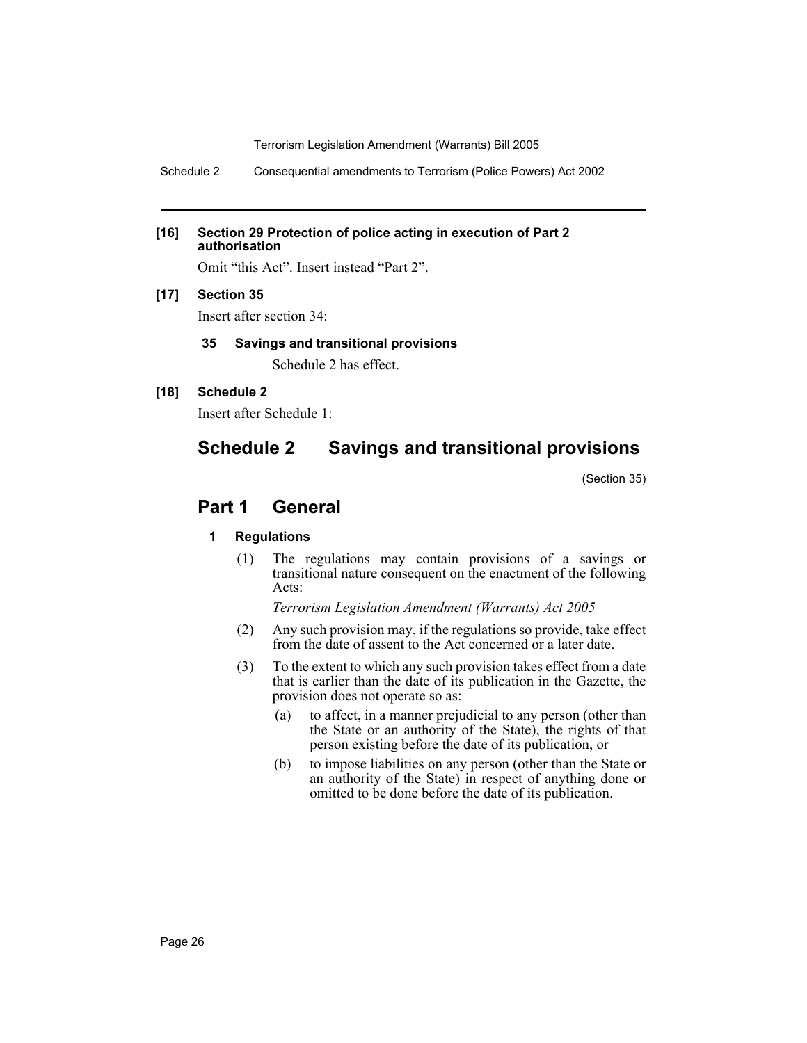Schedule 2 Consequential amendments to Terrorism (Police Powers) Act 2002

#### **[16] Section 29 Protection of police acting in execution of Part 2 authorisation**

Omit "this Act". Insert instead "Part 2".

# **[17] Section 35**

Insert after section 34:

# **35 Savings and transitional provisions**

Schedule 2 has effect.

# **[18] Schedule 2**

Insert after Schedule 1:

# **Schedule 2 Savings and transitional provisions**

(Section 35)

# **Part 1 General**

# **1 Regulations**

(1) The regulations may contain provisions of a savings or transitional nature consequent on the enactment of the following Acts:

*Terrorism Legislation Amendment (Warrants) Act 2005*

- (2) Any such provision may, if the regulations so provide, take effect from the date of assent to the Act concerned or a later date.
- (3) To the extent to which any such provision takes effect from a date that is earlier than the date of its publication in the Gazette, the provision does not operate so as:
	- (a) to affect, in a manner prejudicial to any person (other than the State or an authority of the State), the rights of that person existing before the date of its publication, or
	- (b) to impose liabilities on any person (other than the State or an authority of the State) in respect of anything done or omitted to be done before the date of its publication.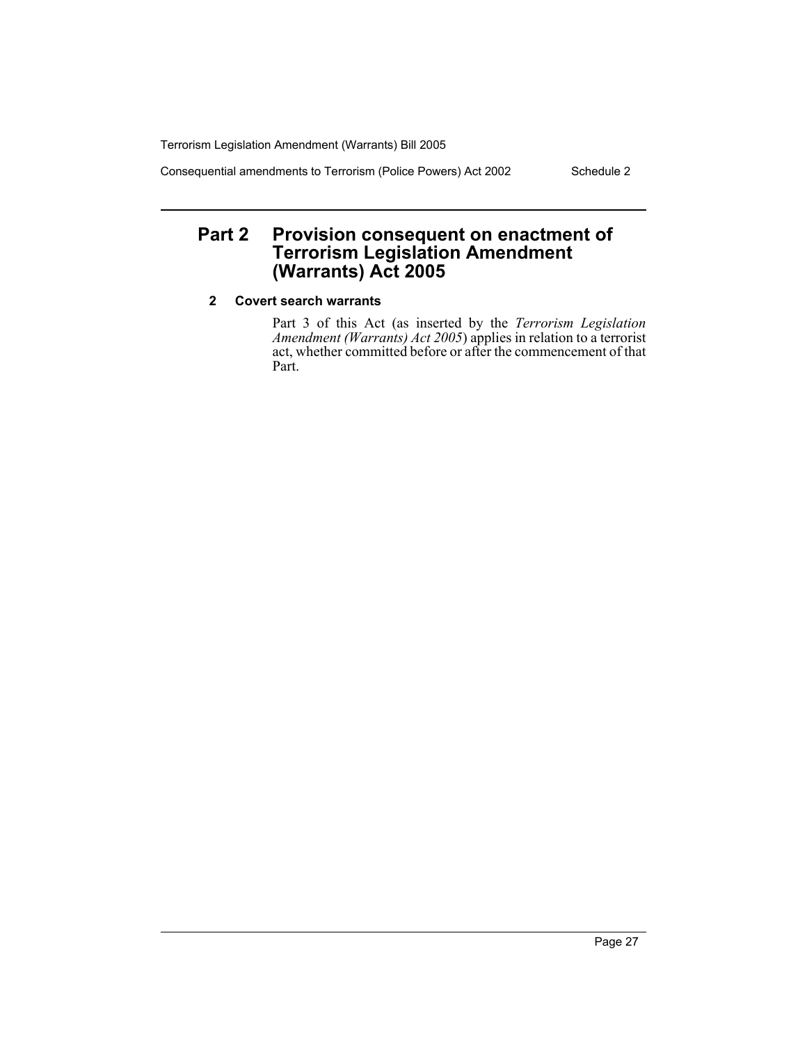Consequential amendments to Terrorism (Police Powers) Act 2002 Schedule 2

# **Part 2 Provision consequent on enactment of Terrorism Legislation Amendment (Warrants) Act 2005**

# **2 Covert search warrants**

Part 3 of this Act (as inserted by the *Terrorism Legislation Amendment (Warrants) Act 2005*) applies in relation to a terrorist act, whether committed before or after the commencement of that Part.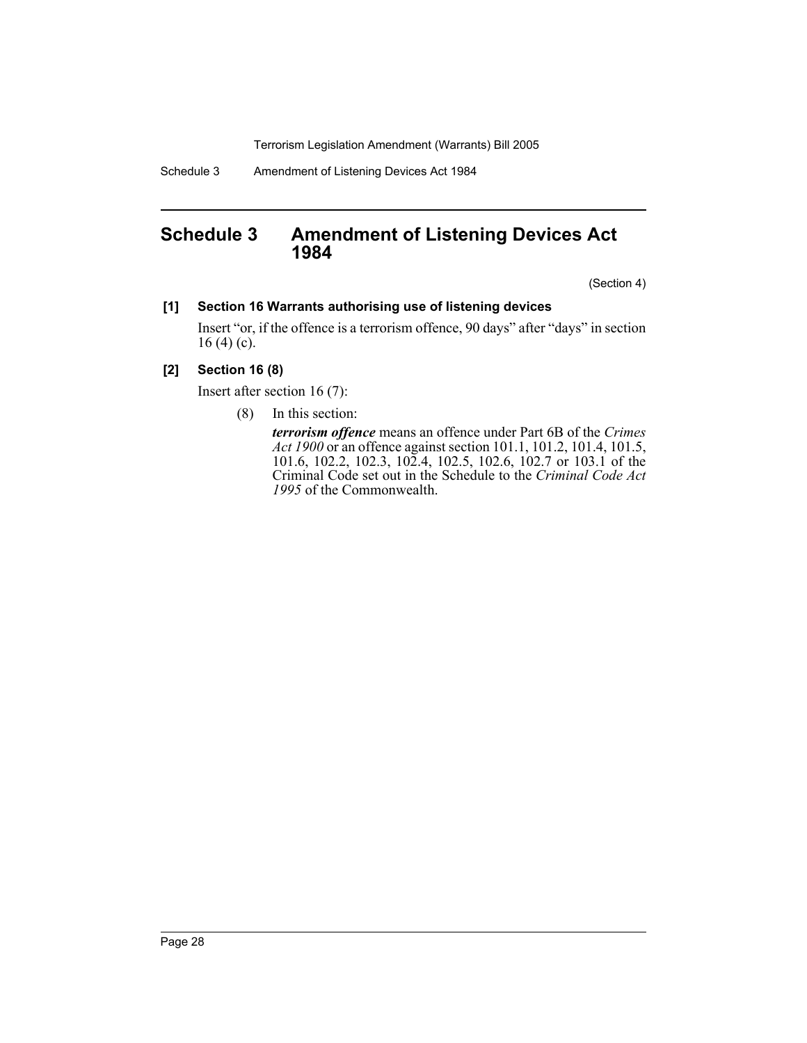Schedule 3 Amendment of Listening Devices Act 1984

# **Schedule 3 Amendment of Listening Devices Act 1984**

(Section 4)

### **[1] Section 16 Warrants authorising use of listening devices**

Insert "or, if the offence is a terrorism offence, 90 days" after "days" in section 16 (4) (c).

# **[2] Section 16 (8)**

Insert after section 16 (7):

(8) In this section:

*terrorism offence* means an offence under Part 6B of the *Crimes Act 1900* or an offence against section 101.1, 101.2, 101.4, 101.5, 101.6, 102.2, 102.3, 102.4, 102.5, 102.6, 102.7 or 103.1 of the Criminal Code set out in the Schedule to the *Criminal Code Act 1995* of the Commonwealth.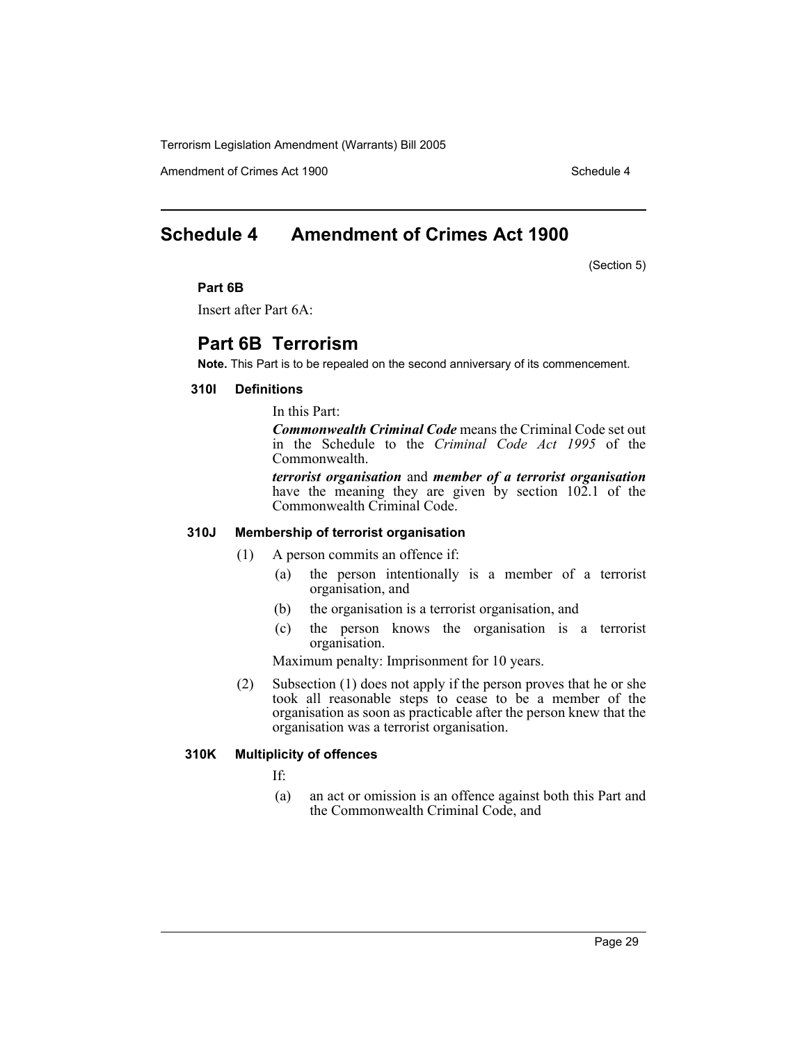Amendment of Crimes Act 1900 Schedule 4

# **Schedule 4 Amendment of Crimes Act 1900**

(Section 5)

#### **Part 6B**

Insert after Part 6A:

# **Part 6B Terrorism**

**Note.** This Part is to be repealed on the second anniversary of its commencement.

#### **310I Definitions**

In this Part:

*Commonwealth Criminal Code* means the Criminal Code set out in the Schedule to the *Criminal Code Act 1995* of the Commonwealth.

*terrorist organisation* and *member of a terrorist organisation* have the meaning they are given by section 102.1 of the Commonwealth Criminal Code.

#### **310J Membership of terrorist organisation**

- (1) A person commits an offence if:
	- (a) the person intentionally is a member of a terrorist organisation, and
	- (b) the organisation is a terrorist organisation, and
	- (c) the person knows the organisation is a terrorist organisation.

Maximum penalty: Imprisonment for 10 years.

(2) Subsection (1) does not apply if the person proves that he or she took all reasonable steps to cease to be a member of the organisation as soon as practicable after the person knew that the organisation was a terrorist organisation.

#### **310K Multiplicity of offences**

If:

(a) an act or omission is an offence against both this Part and the Commonwealth Criminal Code, and